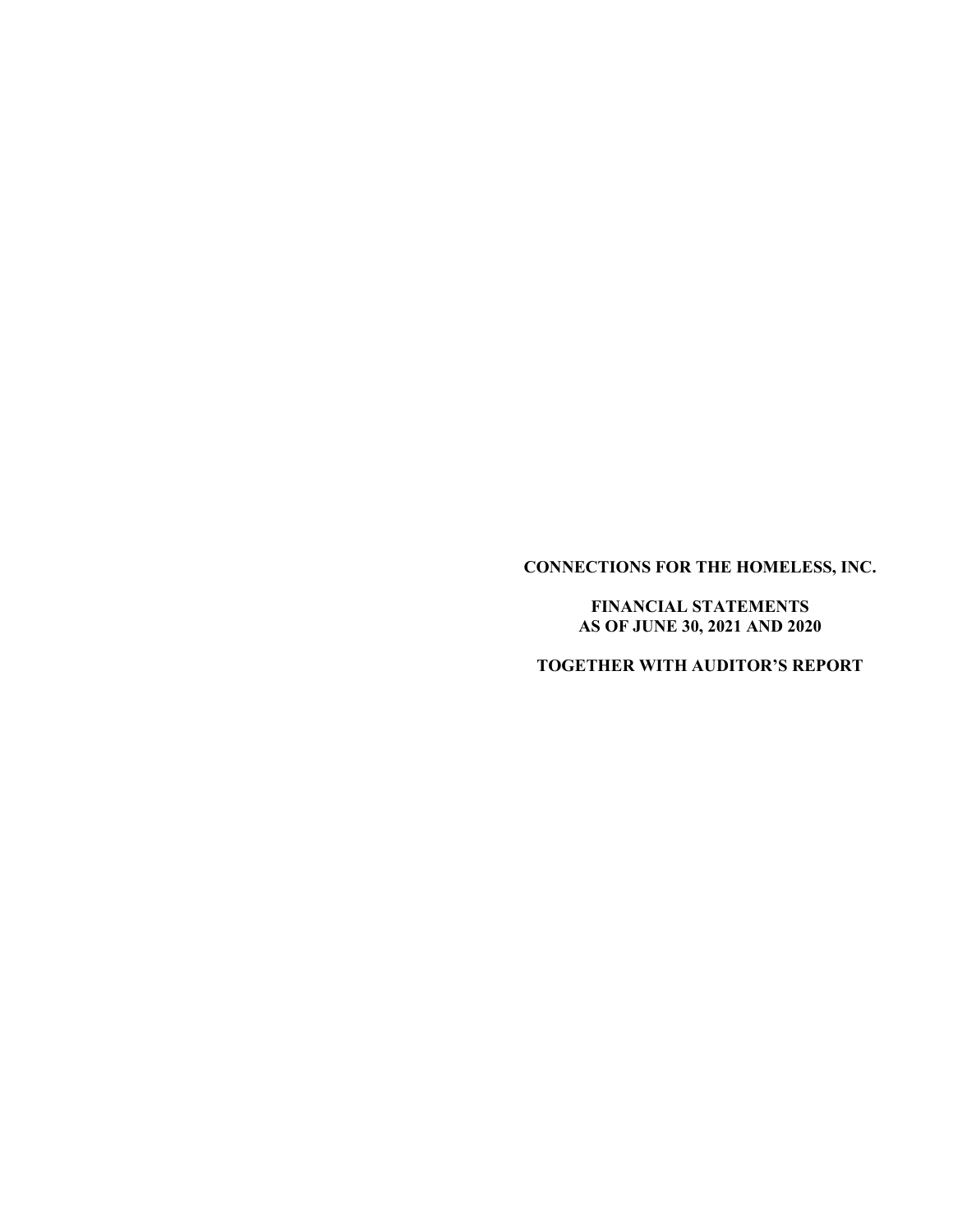# **CONNECTIONS FOR THE HOMELESS, INC.**

## **FINANCIAL STATEMENTS AS OF JUNE 30, 2021 AND 2020**

# **TOGETHER WITH AUDITOR'S REPORT**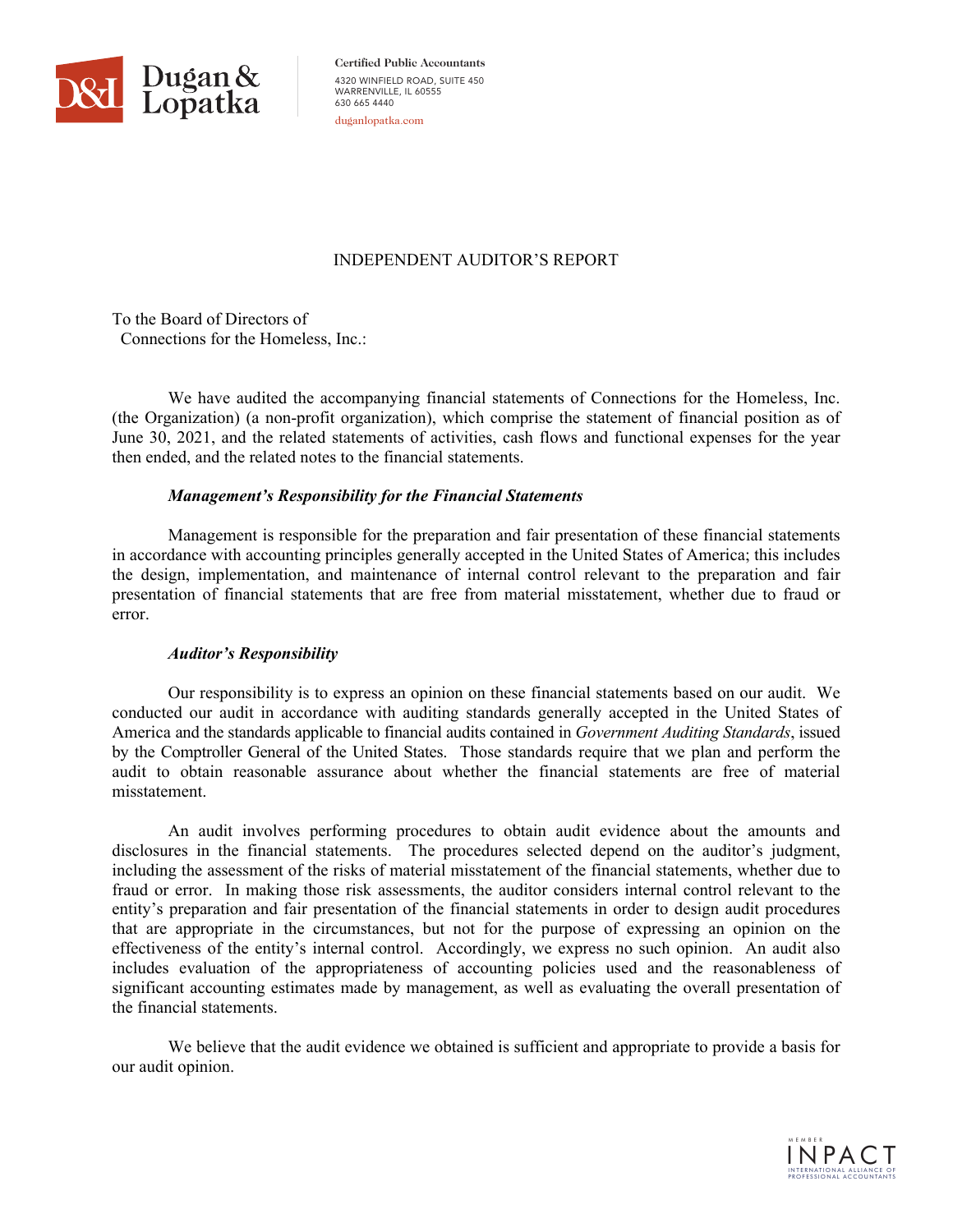

**Certified Public Accountants** 4320 WINFIELD ROAD, SUITE 450 WARRENVILLE, IL 60555 630 665 4440 duganlopatka.com

## INDEPENDENT AUDITOR'S REPORT

To the Board of Directors of Connections for the Homeless, Inc.:

 We have audited the accompanying financial statements of Connections for the Homeless, Inc. (the Organization) (a non-profit organization), which comprise the statement of financial position as of June 30, 2021, and the related statements of activities, cash flows and functional expenses for the year then ended, and the related notes to the financial statements.

## *Management's Responsibility for the Financial Statements*

 Management is responsible for the preparation and fair presentation of these financial statements in accordance with accounting principles generally accepted in the United States of America; this includes the design, implementation, and maintenance of internal control relevant to the preparation and fair presentation of financial statements that are free from material misstatement, whether due to fraud or error.

## *Auditor's Responsibility*

 Our responsibility is to express an opinion on these financial statements based on our audit. We conducted our audit in accordance with auditing standards generally accepted in the United States of America and the standards applicable to financial audits contained in *Government Auditing Standards*, issued by the Comptroller General of the United States. Those standards require that we plan and perform the audit to obtain reasonable assurance about whether the financial statements are free of material misstatement.

 An audit involves performing procedures to obtain audit evidence about the amounts and disclosures in the financial statements. The procedures selected depend on the auditor's judgment, including the assessment of the risks of material misstatement of the financial statements, whether due to fraud or error. In making those risk assessments, the auditor considers internal control relevant to the entity's preparation and fair presentation of the financial statements in order to design audit procedures that are appropriate in the circumstances, but not for the purpose of expressing an opinion on the effectiveness of the entity's internal control. Accordingly, we express no such opinion. An audit also includes evaluation of the appropriateness of accounting policies used and the reasonableness of significant accounting estimates made by management, as well as evaluating the overall presentation of the financial statements.

 We believe that the audit evidence we obtained is sufficient and appropriate to provide a basis for our audit opinion.

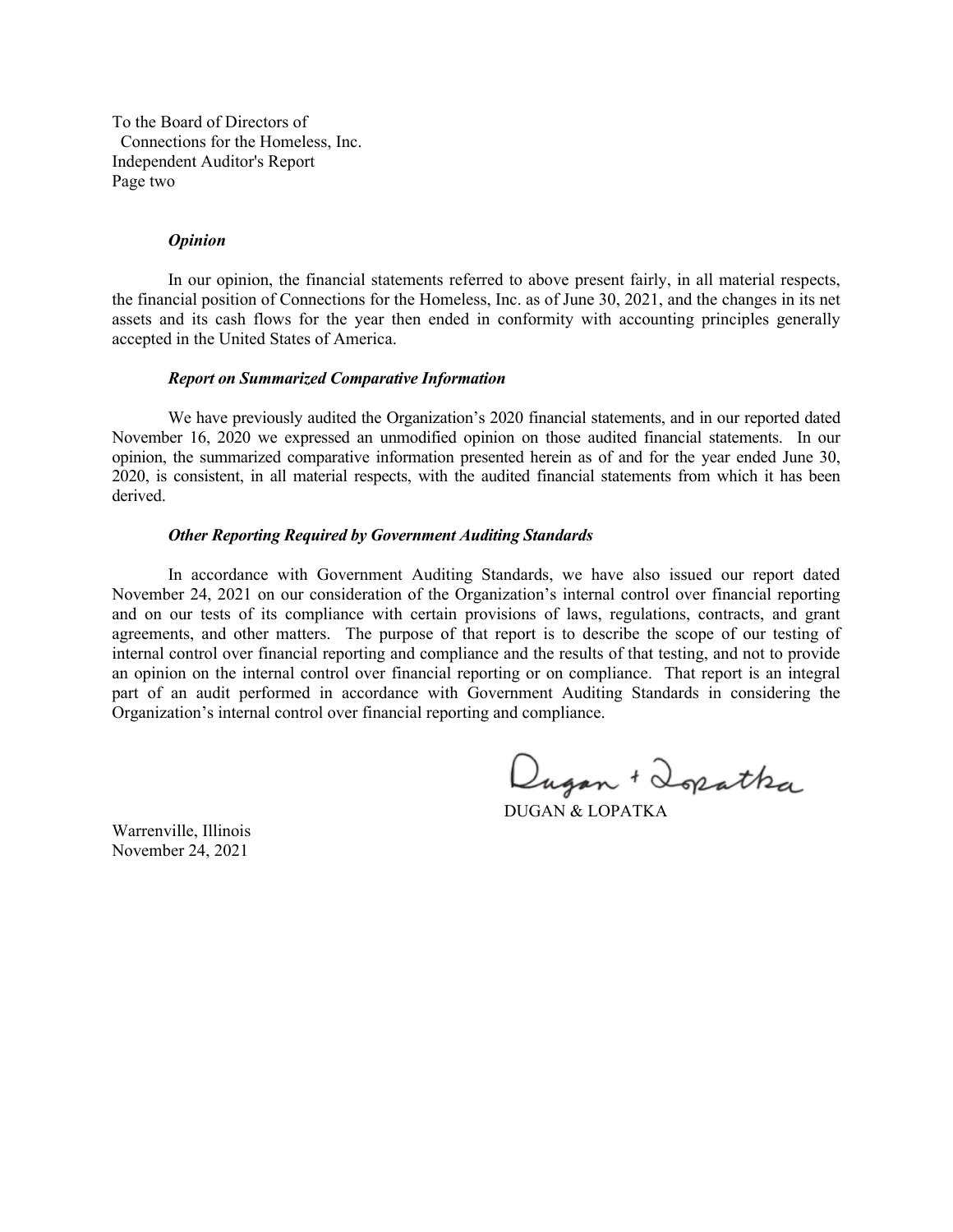To the Board of Directors of Connections for the Homeless, Inc. Independent Auditor's Report Page two

#### *Opinion*

 In our opinion, the financial statements referred to above present fairly, in all material respects, the financial position of Connections for the Homeless, Inc. as of June 30, 2021, and the changes in its net assets and its cash flows for the year then ended in conformity with accounting principles generally accepted in the United States of America.

#### *Report on Summarized Comparative Information*

 We have previously audited the Organization's 2020 financial statements, and in our reported dated November 16, 2020 we expressed an unmodified opinion on those audited financial statements. In our opinion, the summarized comparative information presented herein as of and for the year ended June 30, 2020, is consistent, in all material respects, with the audited financial statements from which it has been derived.

### *Other Reporting Required by Government Auditing Standards*

In accordance with Government Auditing Standards, we have also issued our report dated November 24, 2021 on our consideration of the Organization's internal control over financial reporting and on our tests of its compliance with certain provisions of laws, regulations, contracts, and grant agreements, and other matters. The purpose of that report is to describe the scope of our testing of internal control over financial reporting and compliance and the results of that testing, and not to provide an opinion on the internal control over financial reporting or on compliance. That report is an integral part of an audit performed in accordance with Government Auditing Standards in considering the Organization's internal control over financial reporting and compliance.

Dugan + Dopatha

DUGAN & LOPATKA

Warrenville, Illinois November 24, 2021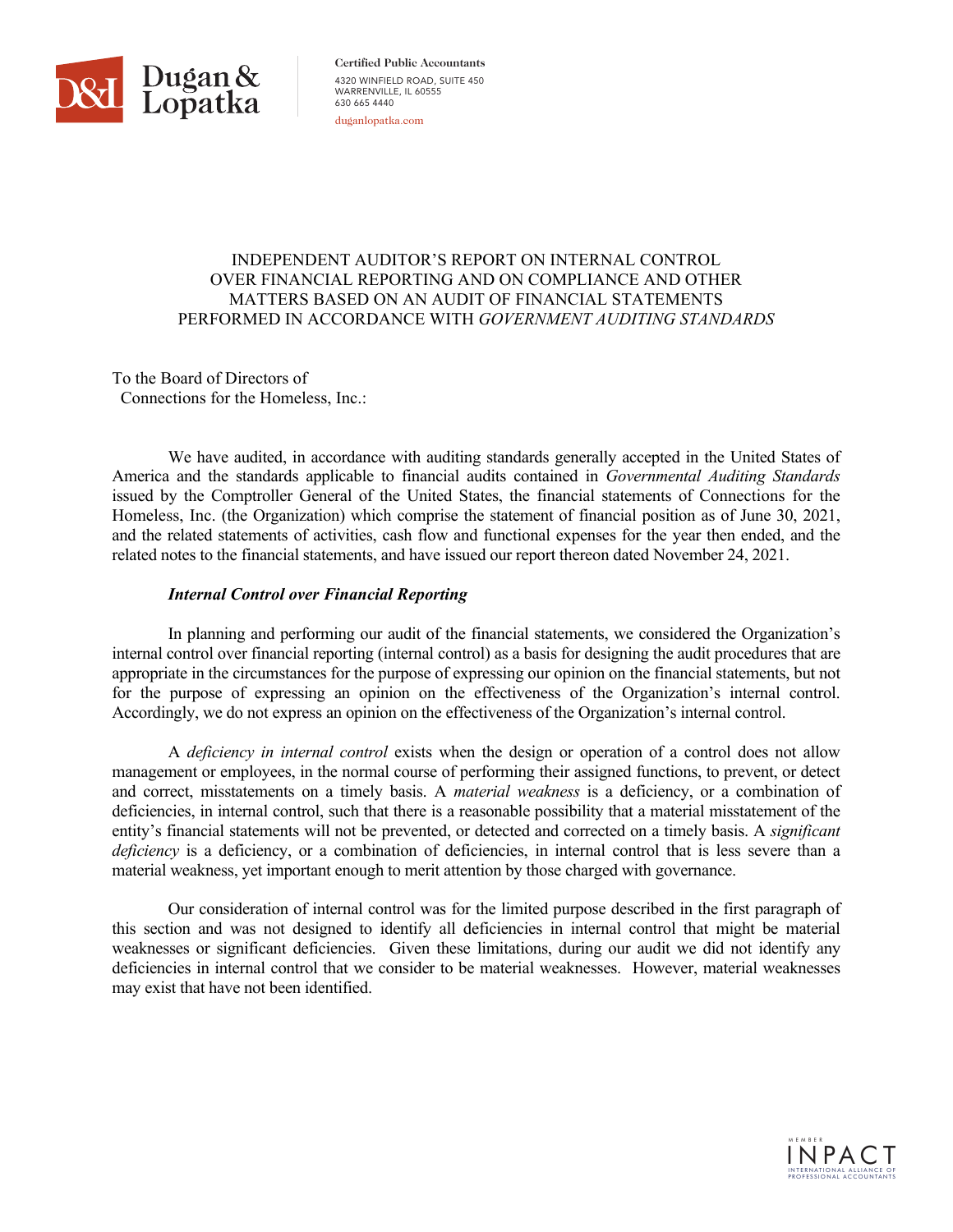

**Certified Public Accountants** 4320 WINFIELD ROAD, SUITE 450 WARRENVILLE, IL 60555 630 665 4440 duganlopatka.com

INDEPENDENT AUDITOR'S REPORT ON INTERNAL CONTROL OVER FINANCIAL REPORTING AND ON COMPLIANCE AND OTHER MATTERS BASED ON AN AUDIT OF FINANCIAL STATEMENTS PERFORMED IN ACCORDANCE WITH *GOVERNMENT AUDITING STANDARDS* 

To the Board of Directors of Connections for the Homeless, Inc.:

We have audited, in accordance with auditing standards generally accepted in the United States of America and the standards applicable to financial audits contained in *Governmental Auditing Standards* issued by the Comptroller General of the United States, the financial statements of Connections for the Homeless, Inc. (the Organization) which comprise the statement of financial position as of June 30, 2021, and the related statements of activities, cash flow and functional expenses for the year then ended, and the related notes to the financial statements, and have issued our report thereon dated November 24, 2021.

## *Internal Control over Financial Reporting*

In planning and performing our audit of the financial statements, we considered the Organization's internal control over financial reporting (internal control) as a basis for designing the audit procedures that are appropriate in the circumstances for the purpose of expressing our opinion on the financial statements, but not for the purpose of expressing an opinion on the effectiveness of the Organization's internal control. Accordingly, we do not express an opinion on the effectiveness of the Organization's internal control.

A *deficiency in internal control* exists when the design or operation of a control does not allow management or employees, in the normal course of performing their assigned functions, to prevent, or detect and correct, misstatements on a timely basis. A *material weakness* is a deficiency, or a combination of deficiencies, in internal control, such that there is a reasonable possibility that a material misstatement of the entity's financial statements will not be prevented, or detected and corrected on a timely basis. A *significant deficiency* is a deficiency, or a combination of deficiencies, in internal control that is less severe than a material weakness, yet important enough to merit attention by those charged with governance.

Our consideration of internal control was for the limited purpose described in the first paragraph of this section and was not designed to identify all deficiencies in internal control that might be material weaknesses or significant deficiencies. Given these limitations, during our audit we did not identify any deficiencies in internal control that we consider to be material weaknesses. However, material weaknesses may exist that have not been identified.

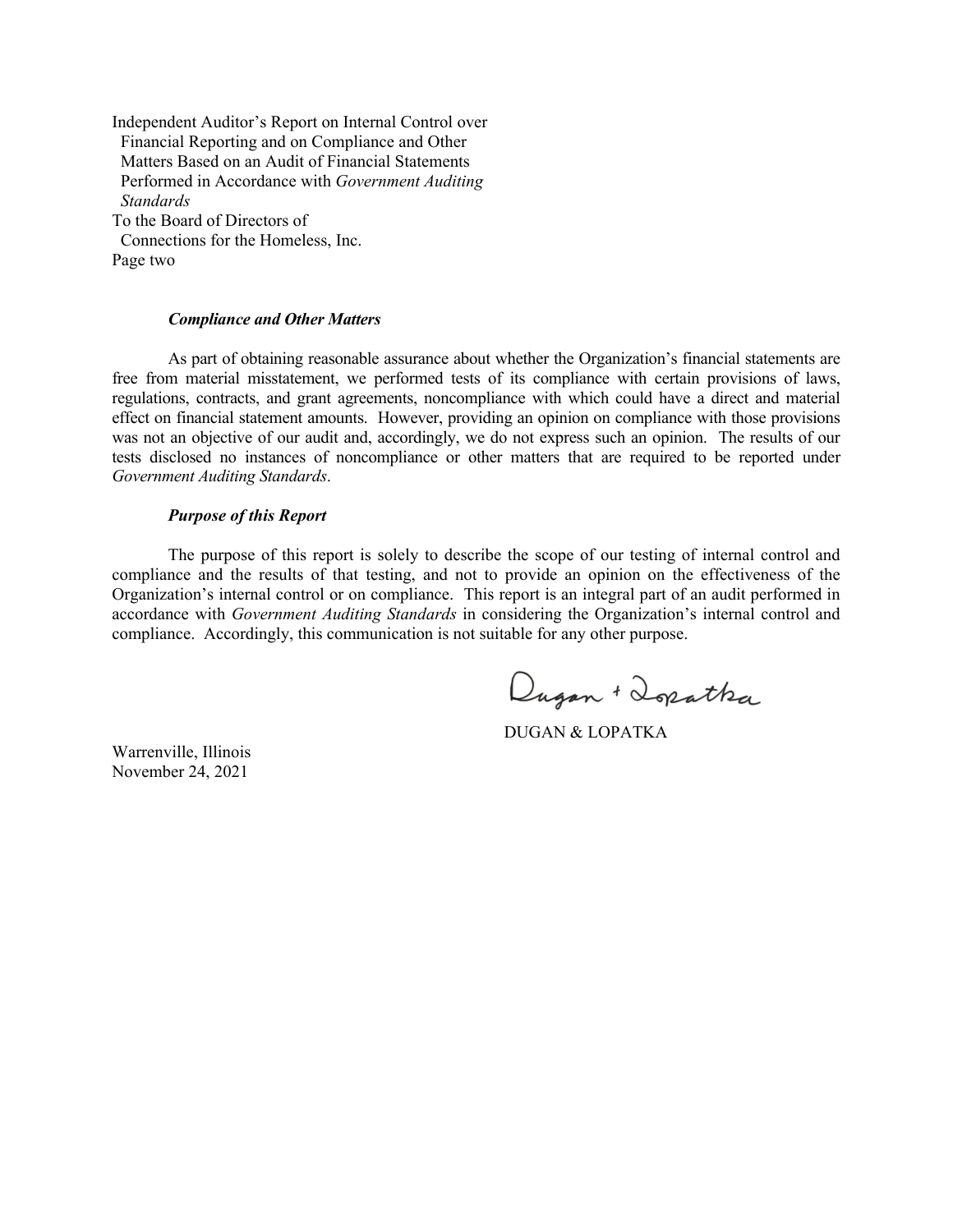Independent Auditor's Report on Internal Control over Financial Reporting and on Compliance and Other Matters Based on an Audit of Financial Statements Performed in Accordance with *Government Auditing Standards*  To the Board of Directors of Connections for the Homeless, Inc. Page two

### *Compliance and Other Matters*

As part of obtaining reasonable assurance about whether the Organization's financial statements are free from material misstatement, we performed tests of its compliance with certain provisions of laws, regulations, contracts, and grant agreements, noncompliance with which could have a direct and material effect on financial statement amounts. However, providing an opinion on compliance with those provisions was not an objective of our audit and, accordingly, we do not express such an opinion. The results of our tests disclosed no instances of noncompliance or other matters that are required to be reported under *Government Auditing Standards*.

#### *Purpose of this Report*

 The purpose of this report is solely to describe the scope of our testing of internal control and compliance and the results of that testing, and not to provide an opinion on the effectiveness of the Organization's internal control or on compliance. This report is an integral part of an audit performed in accordance with *Government Auditing Standards* in considering the Organization's internal control and compliance. Accordingly, this communication is not suitable for any other purpose.

Dugan + Dopatha

DUGAN & LOPATKA

Warrenville, Illinois November 24, 2021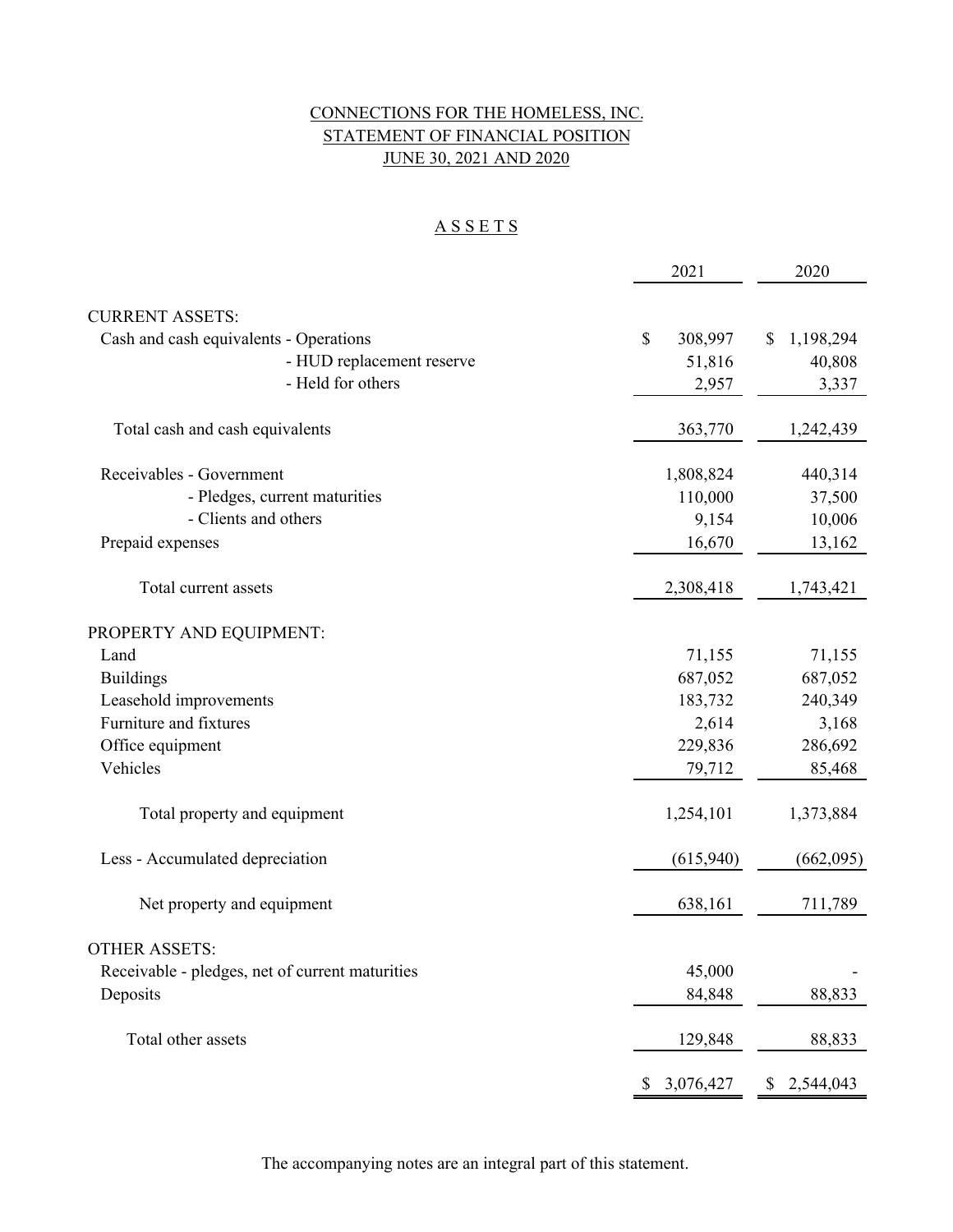# CONNECTIONS FOR THE HOMELESS, INC. STATEMENT OF FINANCIAL POSITION JUNE 30, 2021 AND 2020

# **ASSETS**

|                                                 | 2021            | 2020            |
|-------------------------------------------------|-----------------|-----------------|
|                                                 |                 |                 |
| <b>CURRENT ASSETS:</b>                          |                 |                 |
| Cash and cash equivalents - Operations          | \$<br>308,997   | 1,198,294<br>\$ |
| - HUD replacement reserve                       | 51,816          | 40,808          |
| - Held for others                               | 2,957           | 3,337           |
| Total cash and cash equivalents                 | 363,770         | 1,242,439       |
| Receivables - Government                        | 1,808,824       | 440,314         |
| - Pledges, current maturities                   | 110,000         | 37,500          |
| - Clients and others                            | 9,154           | 10,006          |
| Prepaid expenses                                | 16,670          | 13,162          |
| Total current assets                            | 2,308,418       | 1,743,421       |
| PROPERTY AND EQUIPMENT:                         |                 |                 |
| Land                                            | 71,155          | 71,155          |
| <b>Buildings</b>                                | 687,052         | 687,052         |
| Leasehold improvements                          | 183,732         | 240,349         |
| Furniture and fixtures                          | 2,614           | 3,168           |
| Office equipment                                | 229,836         | 286,692         |
| Vehicles                                        | 79,712          | 85,468          |
| Total property and equipment                    | 1,254,101       | 1,373,884       |
| Less - Accumulated depreciation                 | (615,940)       | (662,095)       |
| Net property and equipment                      | 638,161         | 711,789         |
| <b>OTHER ASSETS:</b>                            |                 |                 |
| Receivable - pledges, net of current maturities | 45,000          |                 |
| Deposits                                        | 84,848          | 88,833          |
| Total other assets                              | 129,848         | 88,833          |
|                                                 | 3,076,427<br>\$ | 2,544,043<br>\$ |

The accompanying notes are an integral part of this statement.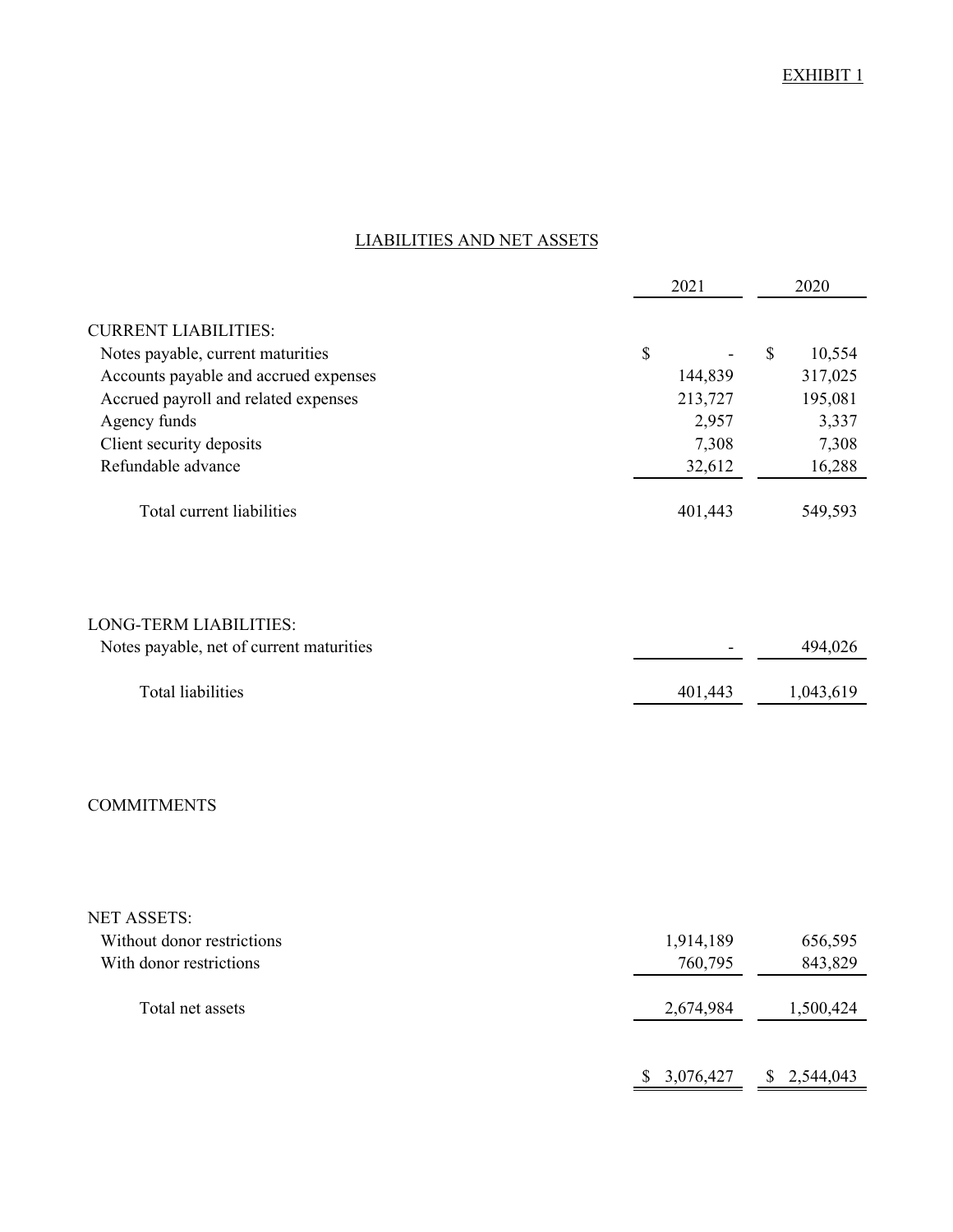# LIABILITIES AND NET ASSETS

|                                          | 2021                      |           | 2020         |
|------------------------------------------|---------------------------|-----------|--------------|
| <b>CURRENT LIABILITIES:</b>              |                           |           |              |
| Notes payable, current maturities        | $\boldsymbol{\mathsf{S}}$ |           | \$<br>10,554 |
| Accounts payable and accrued expenses    |                           | 144,839   | 317,025      |
| Accrued payroll and related expenses     |                           | 213,727   | 195,081      |
| Agency funds                             |                           | 2,957     | 3,337        |
| Client security deposits                 |                           | 7,308     | 7,308        |
| Refundable advance                       |                           | 32,612    | 16,288       |
| Total current liabilities                |                           | 401,443   | 549,593      |
|                                          |                           |           |              |
| <b>LONG-TERM LIABILITIES:</b>            |                           |           |              |
| Notes payable, net of current maturities |                           |           | 494,026      |
| <b>Total liabilities</b>                 |                           | 401,443   | 1,043,619    |
|                                          |                           |           |              |
| <b>COMMITMENTS</b>                       |                           |           |              |
| <b>NET ASSETS:</b>                       |                           |           |              |
| Without donor restrictions               |                           | 1,914,189 | 656,595      |
| With donor restrictions                  |                           | 760,795   | 843,829      |
| Total net assets                         |                           | 2,674,984 | 1,500,424    |
|                                          |                           |           |              |
|                                          | \$                        | 3,076,427 | \$2,544,043  |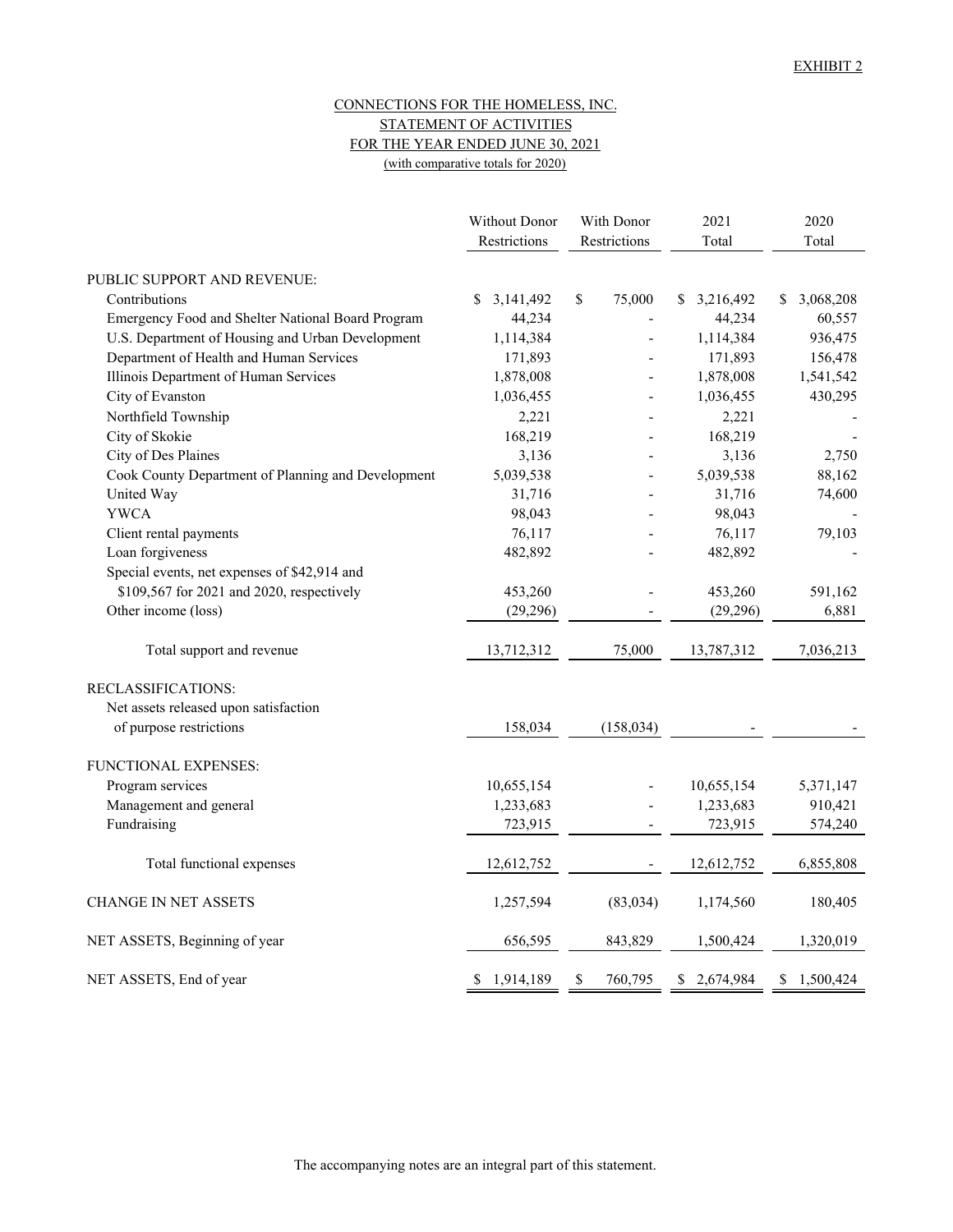## CONNECTIONS FOR THE HOMELESS, INC. STATEMENT OF ACTIVITIES FOR THE YEAR ENDED JUNE 30, 2021 (with comparative totals for 2020)

|                                                    | Without Donor<br>With Donor |               | 2021<br>2020    |                 |
|----------------------------------------------------|-----------------------------|---------------|-----------------|-----------------|
|                                                    | Restrictions                | Restrictions  | Total           | Total           |
|                                                    |                             |               |                 |                 |
| PUBLIC SUPPORT AND REVENUE:                        |                             |               |                 |                 |
| Contributions                                      | 3,141,492<br>\$             | \$<br>75,000  | 3,216,492<br>\$ | 3,068,208<br>\$ |
| Emergency Food and Shelter National Board Program  | 44,234                      |               | 44,234          | 60,557          |
| U.S. Department of Housing and Urban Development   | 1,114,384                   |               | 1,114,384       | 936,475         |
| Department of Health and Human Services            | 171,893                     |               | 171,893         | 156,478         |
| Illinois Department of Human Services              | 1,878,008                   |               | 1,878,008       | 1,541,542       |
| City of Evanston                                   | 1,036,455                   |               | 1,036,455       | 430,295         |
| Northfield Township                                | 2,221                       |               | 2,221           |                 |
| City of Skokie                                     | 168,219                     |               | 168,219         |                 |
| City of Des Plaines                                | 3,136                       |               | 3,136           | 2,750           |
| Cook County Department of Planning and Development | 5,039,538                   |               | 5,039,538       | 88,162          |
| United Way                                         | 31,716                      |               | 31,716          | 74,600          |
| <b>YWCA</b>                                        | 98,043                      |               | 98,043          |                 |
| Client rental payments                             | 76,117                      |               | 76,117          | 79,103          |
| Loan forgiveness                                   | 482,892                     |               | 482,892         |                 |
| Special events, net expenses of \$42,914 and       |                             |               |                 |                 |
| \$109,567 for 2021 and 2020, respectively          | 453,260                     |               | 453,260         | 591,162         |
| Other income (loss)                                | (29, 296)                   |               | (29, 296)       | 6,881           |
|                                                    |                             |               |                 |                 |
| Total support and revenue                          | 13,712,312                  | 75,000        | 13,787,312      | 7,036,213       |
| <b>RECLASSIFICATIONS:</b>                          |                             |               |                 |                 |
| Net assets released upon satisfaction              |                             |               |                 |                 |
| of purpose restrictions                            | 158,034                     | (158, 034)    |                 |                 |
|                                                    |                             |               |                 |                 |
| FUNCTIONAL EXPENSES:                               |                             |               |                 |                 |
| Program services                                   | 10,655,154                  |               | 10,655,154      | 5,371,147       |
| Management and general                             | 1,233,683                   |               | 1,233,683       | 910,421         |
| Fundraising                                        | 723,915                     |               | 723,915         | 574,240         |
| Total functional expenses                          | 12,612,752                  |               | 12,612,752      | 6,855,808       |
| <b>CHANGE IN NET ASSETS</b>                        | 1,257,594                   | (83,034)      | 1,174,560       | 180,405         |
| NET ASSETS, Beginning of year                      | 656,595                     | 843,829       | 1,500,424       | 1,320,019       |
| NET ASSETS, End of year                            | 1,914,189<br>\$             | \$<br>760,795 | 2,674,984<br>\$ | \$<br>1,500,424 |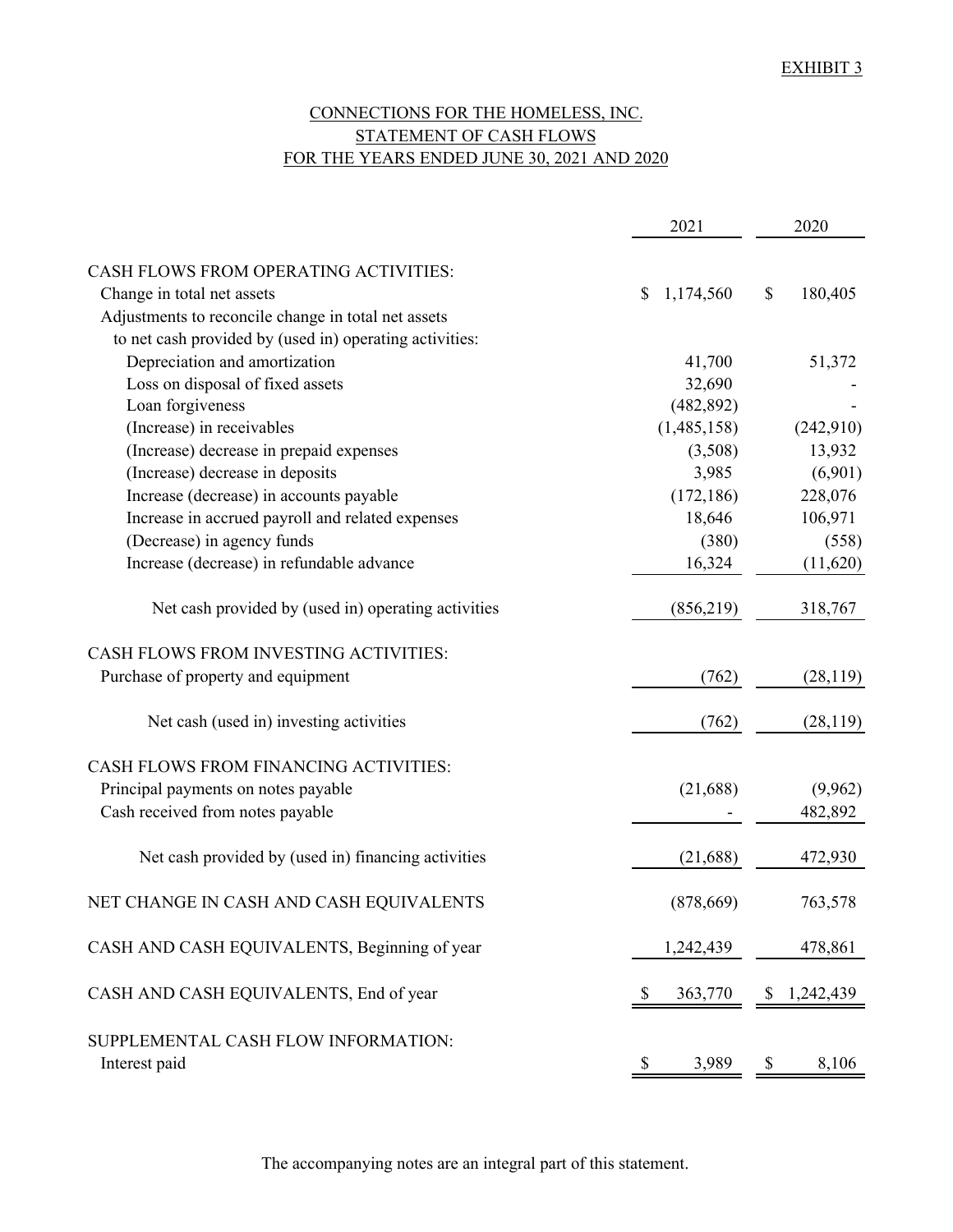# CONNECTIONS FOR THE HOMELESS, INC. STATEMENT OF CASH FLOWS FOR THE YEARS ENDED JUNE 30, 2021 AND 2020

|                                                         | 2021            | 2020                    |
|---------------------------------------------------------|-----------------|-------------------------|
|                                                         |                 |                         |
| CASH FLOWS FROM OPERATING ACTIVITIES:                   |                 |                         |
| Change in total net assets                              | \$<br>1,174,560 | $\mathbb{S}$<br>180,405 |
| Adjustments to reconcile change in total net assets     |                 |                         |
| to net cash provided by (used in) operating activities: |                 |                         |
| Depreciation and amortization                           | 41,700          | 51,372                  |
| Loss on disposal of fixed assets                        | 32,690          |                         |
| Loan forgiveness                                        | (482, 892)      |                         |
| (Increase) in receivables                               | (1,485,158)     | (242,910)               |
| (Increase) decrease in prepaid expenses                 | (3,508)         | 13,932                  |
| (Increase) decrease in deposits                         | 3,985           | (6,901)                 |
| Increase (decrease) in accounts payable                 | (172, 186)      | 228,076                 |
| Increase in accrued payroll and related expenses        | 18,646          | 106,971                 |
| (Decrease) in agency funds                              | (380)           | (558)                   |
| Increase (decrease) in refundable advance               | 16,324          | (11,620)                |
| Net cash provided by (used in) operating activities     | (856,219)       | 318,767                 |
| CASH FLOWS FROM INVESTING ACTIVITIES:                   |                 |                         |
| Purchase of property and equipment                      | (762)           | (28, 119)               |
| Net cash (used in) investing activities                 | (762)           | (28, 119)               |
| CASH FLOWS FROM FINANCING ACTIVITIES:                   |                 |                         |
| Principal payments on notes payable                     | (21, 688)       | (9,962)                 |
| Cash received from notes payable                        |                 | 482,892                 |
| Net cash provided by (used in) financing activities     | (21, 688)       | 472,930                 |
| NET CHANGE IN CASH AND CASH EQUIVALENTS                 | (878, 669)      | 763,578                 |
| CASH AND CASH EQUIVALENTS, Beginning of year            | 1,242,439       | 478,861                 |
| CASH AND CASH EQUIVALENTS, End of year                  | 363,770         | 1,242,439<br>S.         |
| SUPPLEMENTAL CASH FLOW INFORMATION:                     |                 |                         |
| Interest paid                                           | 3,989           | 8,106<br>Y.             |

The accompanying notes are an integral part of this statement.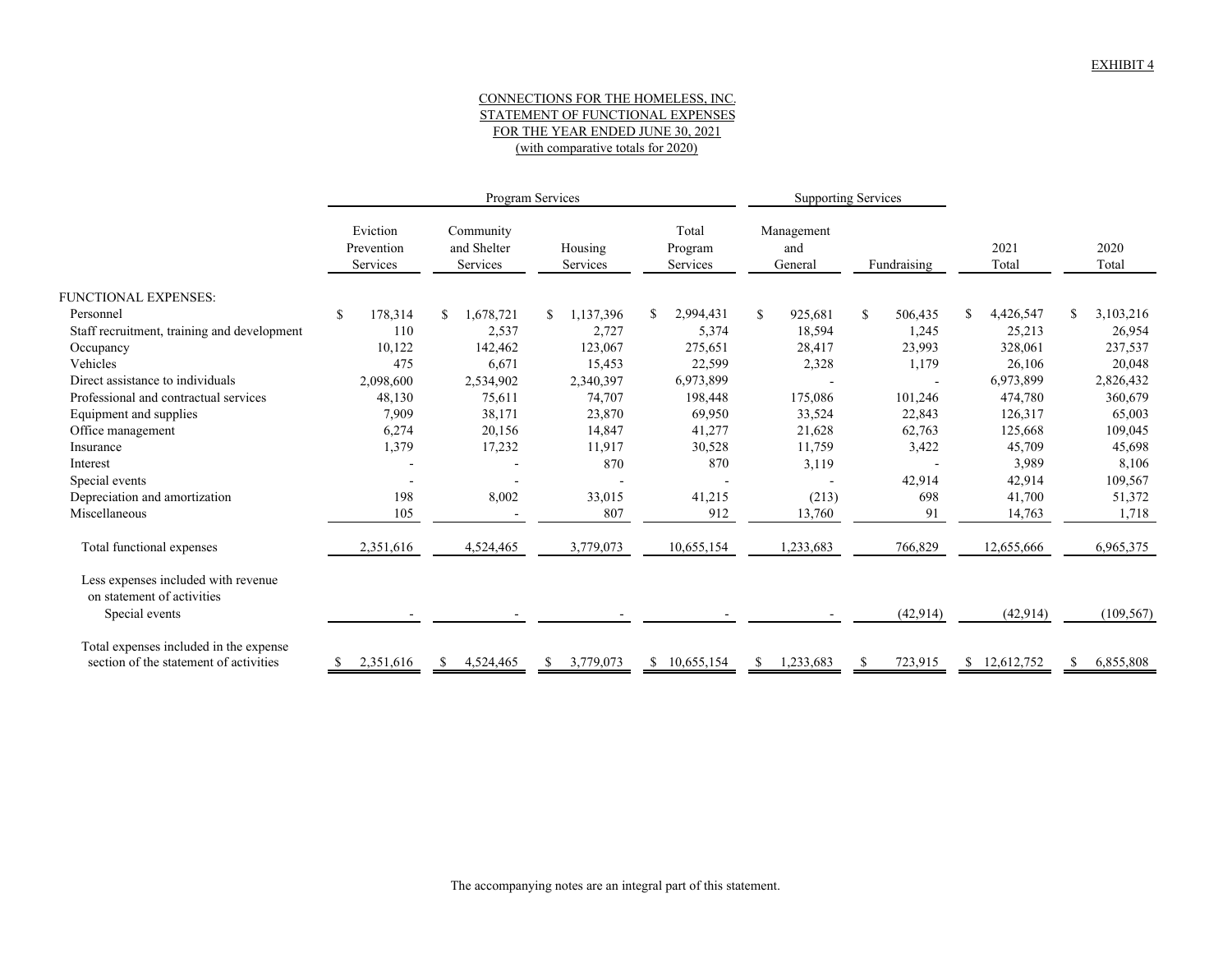### (with comparative totals for 2020) CONNECTIONS FOR THE HOMELESS, INC. STATEMENT OF FUNCTIONAL EXPENSES FOR THE YEAR ENDED JUNE 30, 2021

|                                                                                     | Program Services                   |                                      |                     |                              | <b>Supporting Services</b>   |               |                 |                 |
|-------------------------------------------------------------------------------------|------------------------------------|--------------------------------------|---------------------|------------------------------|------------------------------|---------------|-----------------|-----------------|
|                                                                                     | Eviction<br>Prevention<br>Services | Community<br>and Shelter<br>Services | Housing<br>Services | Total<br>Program<br>Services | Management<br>and<br>General | Fundraising   | 2021<br>Total   | 2020<br>Total   |
| FUNCTIONAL EXPENSES:                                                                |                                    |                                      |                     |                              |                              |               |                 |                 |
| Personnel                                                                           | \$.<br>178,314                     | \$.<br>1,678,721                     | \$<br>1,137,396     | 2,994,431<br>\$.             | <sup>\$</sup><br>925,681     | \$<br>506,435 | 4,426,547<br>\$ | 3,103,216<br>\$ |
| Staff recruitment, training and development                                         | 110                                | 2,537                                | 2,727               | 5,374                        | 18,594                       | 1,245         | 25,213          | 26,954          |
| Occupancy                                                                           | 10,122                             | 142,462                              | 123,067             | 275,651                      | 28,417                       | 23,993        | 328,061         | 237,537         |
| Vehicles                                                                            | 475                                | 6,671                                | 15,453              | 22,599                       | 2,328                        | 1,179         | 26,106          | 20,048          |
| Direct assistance to individuals                                                    | 2,098,600                          | 2,534,902                            | 2,340,397           | 6,973,899                    |                              |               | 6,973,899       | 2,826,432       |
| Professional and contractual services                                               | 48,130                             | 75,611                               | 74,707              | 198,448                      | 175,086                      | 101,246       | 474,780         | 360,679         |
| Equipment and supplies                                                              | 7,909                              | 38,171                               | 23,870              | 69,950                       | 33,524                       | 22,843        | 126,317         | 65,003          |
| Office management                                                                   | 6,274                              | 20,156                               | 14,847              | 41,277                       | 21,628                       | 62,763        | 125,668         | 109,045         |
| Insurance                                                                           | 1,379                              | 17,232                               | 11,917              | 30,528                       | 11,759                       | 3,422         | 45,709          | 45,698          |
| Interest                                                                            |                                    |                                      | 870                 | 870                          | 3,119                        |               | 3,989           | 8,106           |
| Special events                                                                      |                                    |                                      |                     |                              |                              | 42,914        | 42,914          | 109,567         |
| Depreciation and amortization                                                       | 198                                | 8,002                                | 33,015              | 41,215                       | (213)                        | 698           | 41,700          | 51,372          |
| Miscellaneous                                                                       | 105                                |                                      | 807                 | 912                          | 13,760                       | 91            | 14,763          | 1,718           |
| Total functional expenses                                                           | 2,351,616                          | 4,524,465                            | 3,779,073           | 10,655,154                   | 1,233,683                    | 766,829       | 12,655,666      | 6,965,375       |
| Less expenses included with revenue<br>on statement of activities<br>Special events |                                    |                                      |                     |                              |                              | (42, 914)     | (42, 914)       | (109, 567)      |
|                                                                                     |                                    |                                      |                     |                              |                              |               |                 |                 |
| Total expenses included in the expense<br>section of the statement of activities    | 2,351,616                          | <sup>\$</sup><br>4,524,465           | 3,779,073<br>S.     | \$10,655,154                 | 1,233,683<br>-S              | 723,915       | \$12,612,752    | S.<br>6,855,808 |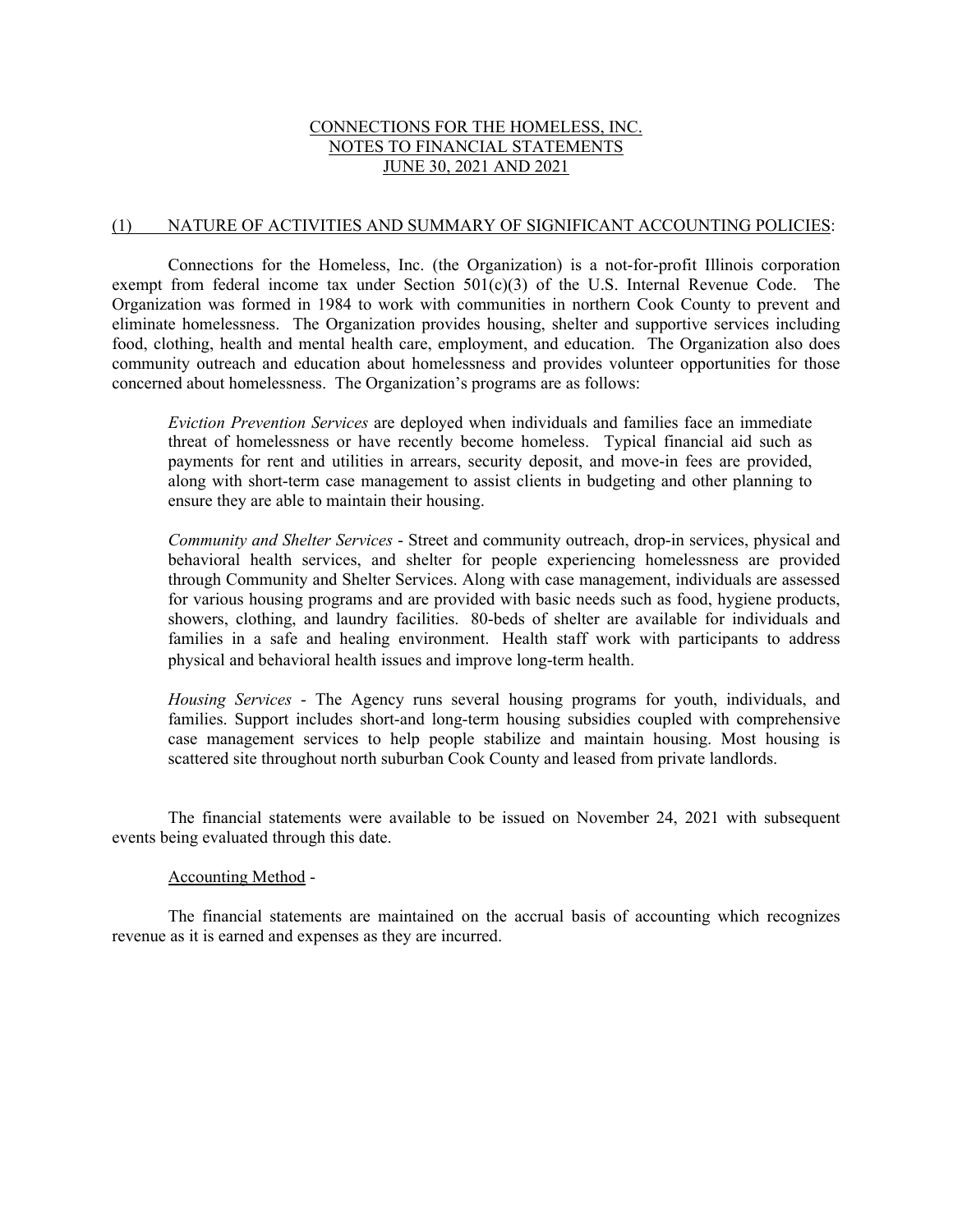## CONNECTIONS FOR THE HOMELESS, INC. NOTES TO FINANCIAL STATEMENTS JUNE 30, 2021 AND 2021

### (1) NATURE OF ACTIVITIES AND SUMMARY OF SIGNIFICANT ACCOUNTING POLICIES:

 Connections for the Homeless, Inc. (the Organization) is a not-for-profit Illinois corporation exempt from federal income tax under Section 501(c)(3) of the U.S. Internal Revenue Code. The Organization was formed in 1984 to work with communities in northern Cook County to prevent and eliminate homelessness. The Organization provides housing, shelter and supportive services including food, clothing, health and mental health care, employment, and education. The Organization also does community outreach and education about homelessness and provides volunteer opportunities for those concerned about homelessness. The Organization's programs are as follows:

*Eviction Prevention Services* are deployed when individuals and families face an immediate threat of homelessness or have recently become homeless. Typical financial aid such as payments for rent and utilities in arrears, security deposit, and move-in fees are provided, along with short-term case management to assist clients in budgeting and other planning to ensure they are able to maintain their housing.

*Community and Shelter Services* - Street and community outreach, drop-in services, physical and behavioral health services, and shelter for people experiencing homelessness are provided through Community and Shelter Services. Along with case management, individuals are assessed for various housing programs and are provided with basic needs such as food, hygiene products, showers, clothing, and laundry facilities. 80-beds of shelter are available for individuals and families in a safe and healing environment. Health staff work with participants to address physical and behavioral health issues and improve long-term health.

*Housing Services* - The Agency runs several housing programs for youth, individuals, and families. Support includes short-and long-term housing subsidies coupled with comprehensive case management services to help people stabilize and maintain housing. Most housing is scattered site throughout north suburban Cook County and leased from private landlords.

 The financial statements were available to be issued on November 24, 2021 with subsequent events being evaluated through this date.

## Accounting Method -

 The financial statements are maintained on the accrual basis of accounting which recognizes revenue as it is earned and expenses as they are incurred.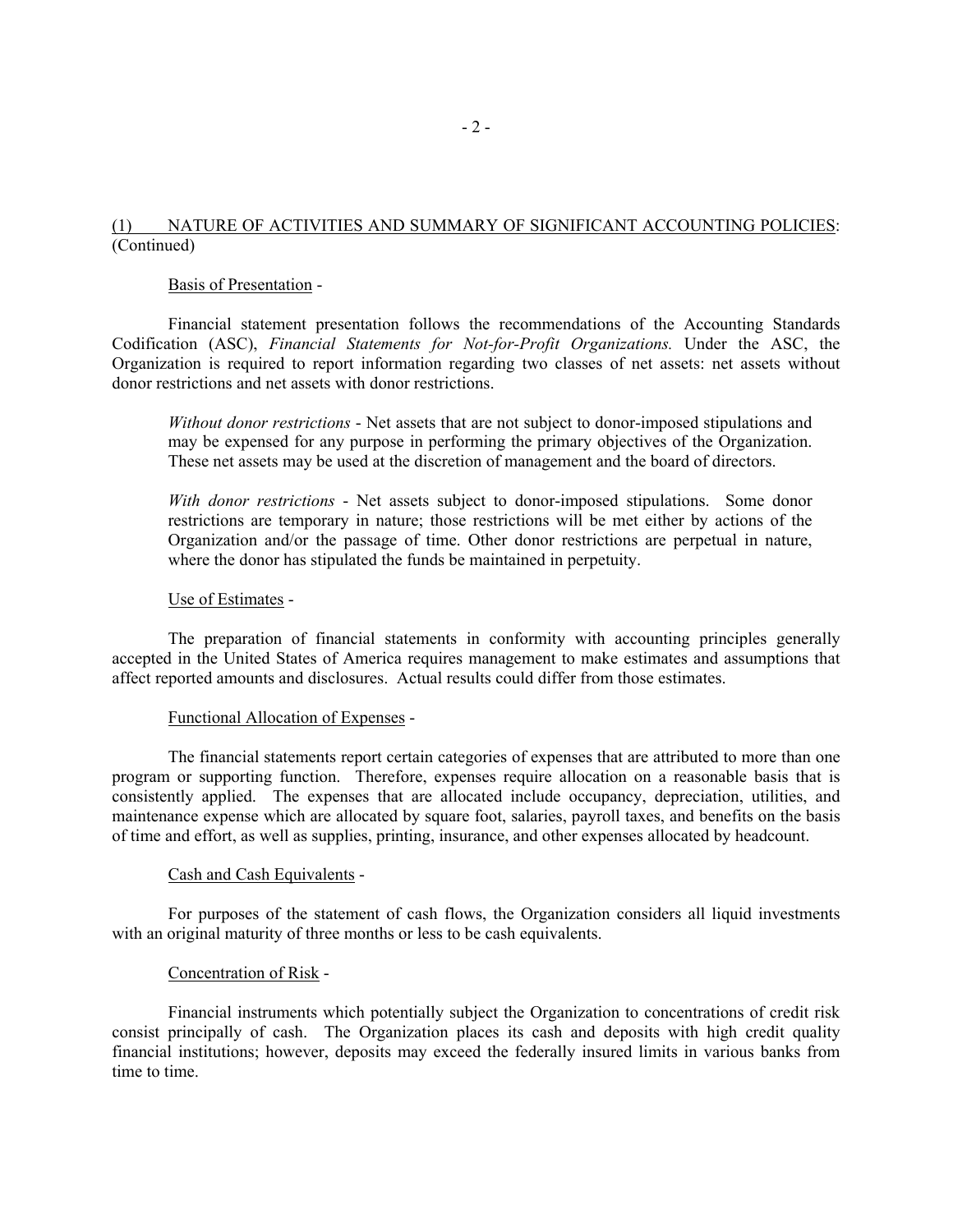#### Basis of Presentation -

Financial statement presentation follows the recommendations of the Accounting Standards Codification (ASC), *Financial Statements for Not-for-Profit Organizations.* Under the ASC, the Organization is required to report information regarding two classes of net assets: net assets without donor restrictions and net assets with donor restrictions.

*Without donor restrictions* - Net assets that are not subject to donor-imposed stipulations and may be expensed for any purpose in performing the primary objectives of the Organization. These net assets may be used at the discretion of management and the board of directors.

*With donor restrictions* - Net assets subject to donor-imposed stipulations. Some donor restrictions are temporary in nature; those restrictions will be met either by actions of the Organization and/or the passage of time. Other donor restrictions are perpetual in nature, where the donor has stipulated the funds be maintained in perpetuity.

### Use of Estimates -

 The preparation of financial statements in conformity with accounting principles generally accepted in the United States of America requires management to make estimates and assumptions that affect reported amounts and disclosures. Actual results could differ from those estimates.

## Functional Allocation of Expenses -

 The financial statements report certain categories of expenses that are attributed to more than one program or supporting function. Therefore, expenses require allocation on a reasonable basis that is consistently applied. The expenses that are allocated include occupancy, depreciation, utilities, and maintenance expense which are allocated by square foot, salaries, payroll taxes, and benefits on the basis of time and effort, as well as supplies, printing, insurance, and other expenses allocated by headcount.

#### Cash and Cash Equivalents -

 For purposes of the statement of cash flows, the Organization considers all liquid investments with an original maturity of three months or less to be cash equivalents.

#### Concentration of Risk -

 Financial instruments which potentially subject the Organization to concentrations of credit risk consist principally of cash. The Organization places its cash and deposits with high credit quality financial institutions; however, deposits may exceed the federally insured limits in various banks from time to time.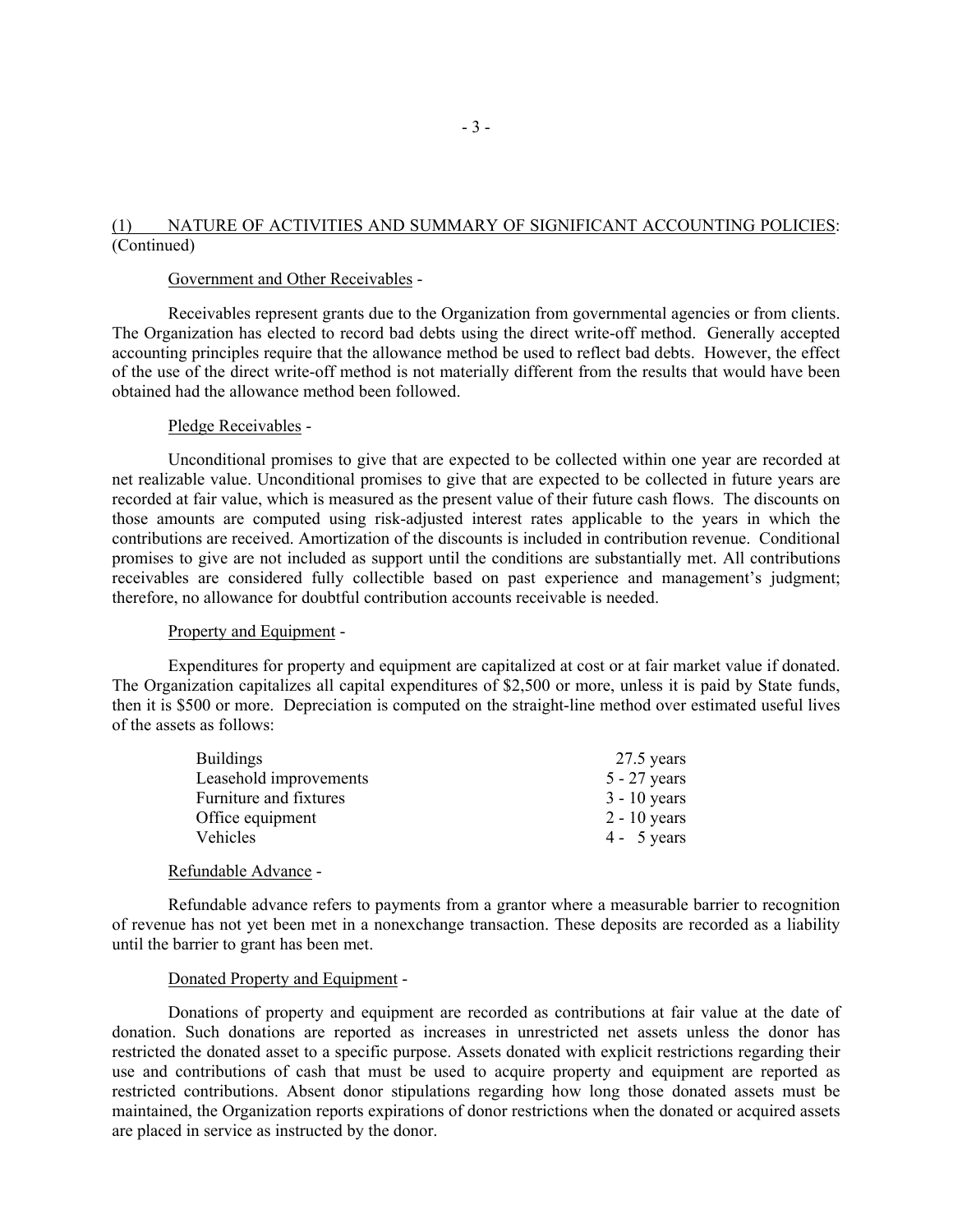### Government and Other Receivables -

 Receivables represent grants due to the Organization from governmental agencies or from clients. The Organization has elected to record bad debts using the direct write-off method. Generally accepted accounting principles require that the allowance method be used to reflect bad debts. However, the effect of the use of the direct write-off method is not materially different from the results that would have been obtained had the allowance method been followed.

#### Pledge Receivables -

 Unconditional promises to give that are expected to be collected within one year are recorded at net realizable value. Unconditional promises to give that are expected to be collected in future years are recorded at fair value, which is measured as the present value of their future cash flows. The discounts on those amounts are computed using risk-adjusted interest rates applicable to the years in which the contributions are received. Amortization of the discounts is included in contribution revenue. Conditional promises to give are not included as support until the conditions are substantially met. All contributions receivables are considered fully collectible based on past experience and management's judgment; therefore, no allowance for doubtful contribution accounts receivable is needed.

#### Property and Equipment -

 Expenditures for property and equipment are capitalized at cost or at fair market value if donated. The Organization capitalizes all capital expenditures of \$2,500 or more, unless it is paid by State funds, then it is \$500 or more. Depreciation is computed on the straight-line method over estimated useful lives of the assets as follows:

| <b>Buildings</b>       | $27.5$ years   |
|------------------------|----------------|
| Leasehold improvements | $5 - 27$ years |
| Furniture and fixtures | $3 - 10$ years |
| Office equipment       | $2 - 10$ years |
| <b>Vehicles</b>        | $4 - 5$ years  |

## Refundable Advance -

 Refundable advance refers to payments from a grantor where a measurable barrier to recognition of revenue has not yet been met in a nonexchange transaction. These deposits are recorded as a liability until the barrier to grant has been met.

#### Donated Property and Equipment -

Donations of property and equipment are recorded as contributions at fair value at the date of donation. Such donations are reported as increases in unrestricted net assets unless the donor has restricted the donated asset to a specific purpose. Assets donated with explicit restrictions regarding their use and contributions of cash that must be used to acquire property and equipment are reported as restricted contributions. Absent donor stipulations regarding how long those donated assets must be maintained, the Organization reports expirations of donor restrictions when the donated or acquired assets are placed in service as instructed by the donor.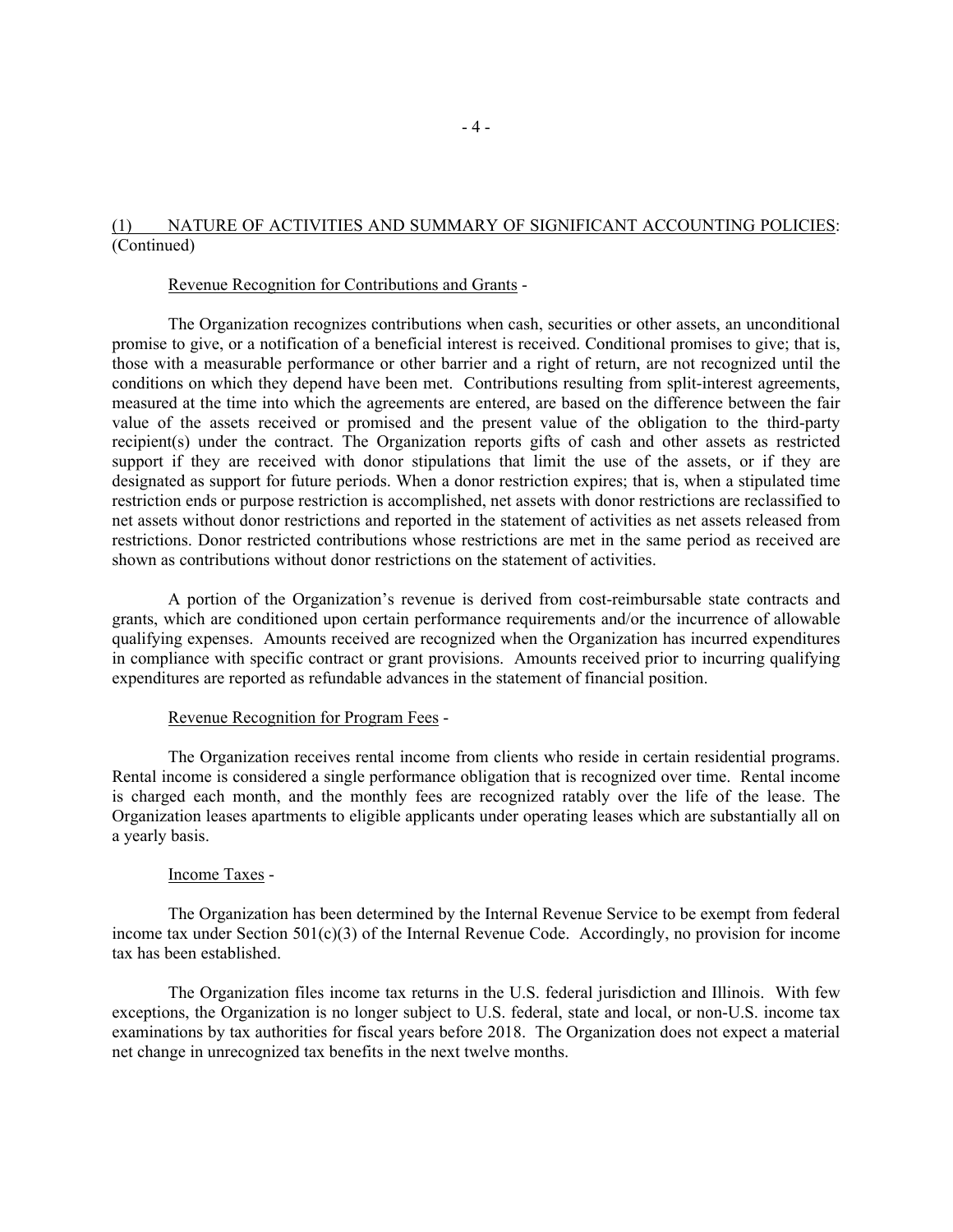## Revenue Recognition for Contributions and Grants -

The Organization recognizes contributions when cash, securities or other assets, an unconditional promise to give, or a notification of a beneficial interest is received. Conditional promises to give; that is, those with a measurable performance or other barrier and a right of return, are not recognized until the conditions on which they depend have been met. Contributions resulting from split-interest agreements, measured at the time into which the agreements are entered, are based on the difference between the fair value of the assets received or promised and the present value of the obligation to the third-party recipient(s) under the contract. The Organization reports gifts of cash and other assets as restricted support if they are received with donor stipulations that limit the use of the assets, or if they are designated as support for future periods. When a donor restriction expires; that is, when a stipulated time restriction ends or purpose restriction is accomplished, net assets with donor restrictions are reclassified to net assets without donor restrictions and reported in the statement of activities as net assets released from restrictions. Donor restricted contributions whose restrictions are met in the same period as received are shown as contributions without donor restrictions on the statement of activities.

A portion of the Organization's revenue is derived from cost-reimbursable state contracts and grants, which are conditioned upon certain performance requirements and/or the incurrence of allowable qualifying expenses. Amounts received are recognized when the Organization has incurred expenditures in compliance with specific contract or grant provisions. Amounts received prior to incurring qualifying expenditures are reported as refundable advances in the statement of financial position.

## Revenue Recognition for Program Fees -

The Organization receives rental income from clients who reside in certain residential programs. Rental income is considered a single performance obligation that is recognized over time. Rental income is charged each month, and the monthly fees are recognized ratably over the life of the lease. The Organization leases apartments to eligible applicants under operating leases which are substantially all on a yearly basis.

### Income Taxes -

 The Organization has been determined by the Internal Revenue Service to be exempt from federal income tax under Section 501(c)(3) of the Internal Revenue Code. Accordingly, no provision for income tax has been established.

The Organization files income tax returns in the U.S. federal jurisdiction and Illinois. With few exceptions, the Organization is no longer subject to U.S. federal, state and local, or non-U.S. income tax examinations by tax authorities for fiscal years before 2018. The Organization does not expect a material net change in unrecognized tax benefits in the next twelve months.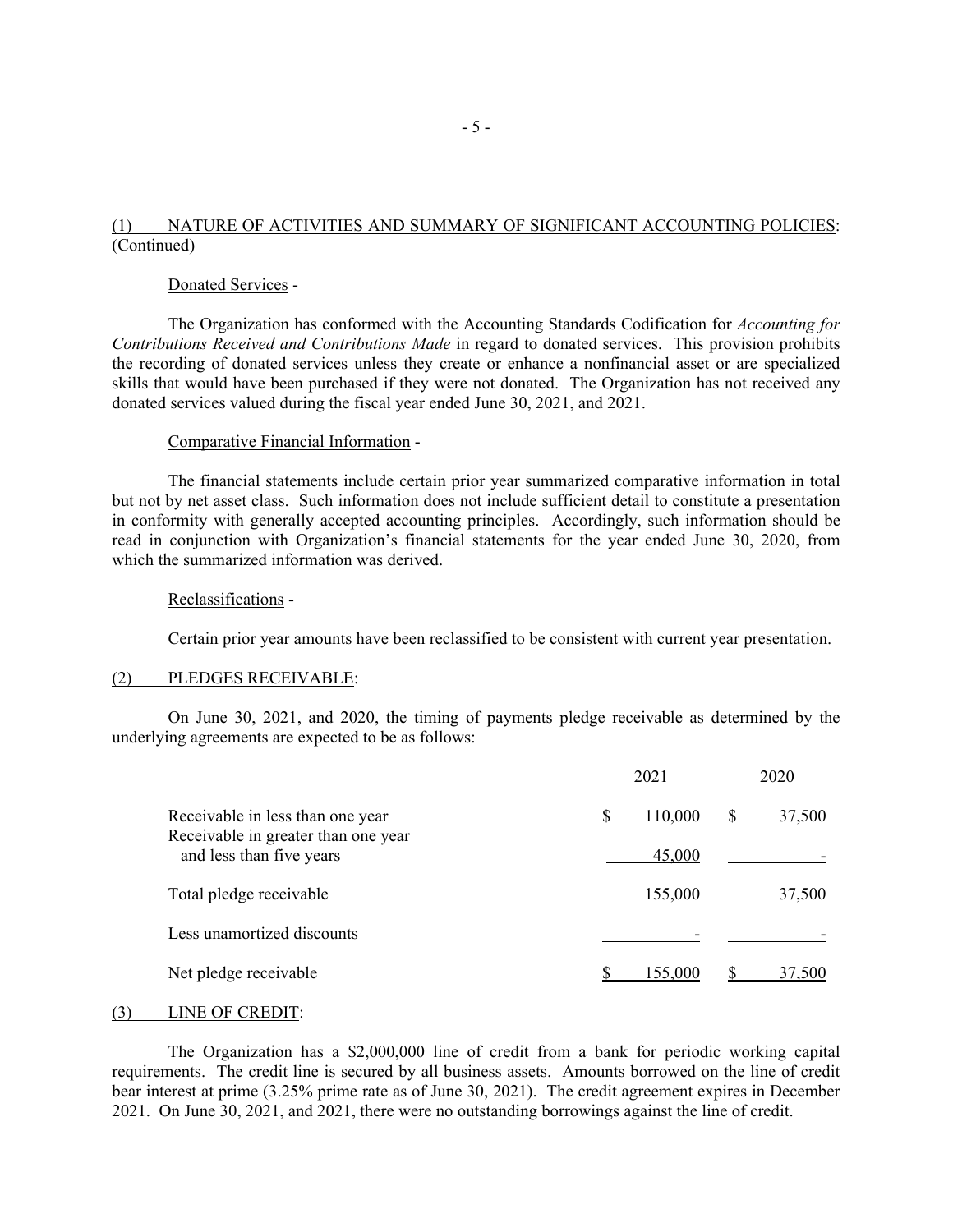## Donated Services -

 The Organization has conformed with the Accounting Standards Codification for *Accounting for Contributions Received and Contributions Made* in regard to donated services. This provision prohibits the recording of donated services unless they create or enhance a nonfinancial asset or are specialized skills that would have been purchased if they were not donated. The Organization has not received any donated services valued during the fiscal year ended June 30, 2021, and 2021.

#### Comparative Financial Information -

The financial statements include certain prior year summarized comparative information in total but not by net asset class. Such information does not include sufficient detail to constitute a presentation in conformity with generally accepted accounting principles. Accordingly, such information should be read in conjunction with Organization's financial statements for the year ended June 30, 2020, from which the summarized information was derived.

#### Reclassifications -

Certain prior year amounts have been reclassified to be consistent with current year presentation.

#### (2) PLEDGES RECEIVABLE:

 On June 30, 2021, and 2020, the timing of payments pledge receivable as determined by the underlying agreements are expected to be as follows:

|                                                                 | 2021          | 2020        |
|-----------------------------------------------------------------|---------------|-------------|
| Receivable in less than one year                                | \$<br>110,000 | S<br>37,500 |
| Receivable in greater than one year<br>and less than five years | 45,000        |             |
| Total pledge receivable                                         | 155,000       | 37,500      |
| Less unamortized discounts                                      |               |             |
| Net pledge receivable                                           | 155,000       | 37,500      |

#### (3) LINE OF CREDIT:

 The Organization has a \$2,000,000 line of credit from a bank for periodic working capital requirements. The credit line is secured by all business assets. Amounts borrowed on the line of credit bear interest at prime (3.25% prime rate as of June 30, 2021). The credit agreement expires in December 2021. On June 30, 2021, and 2021, there were no outstanding borrowings against the line of credit.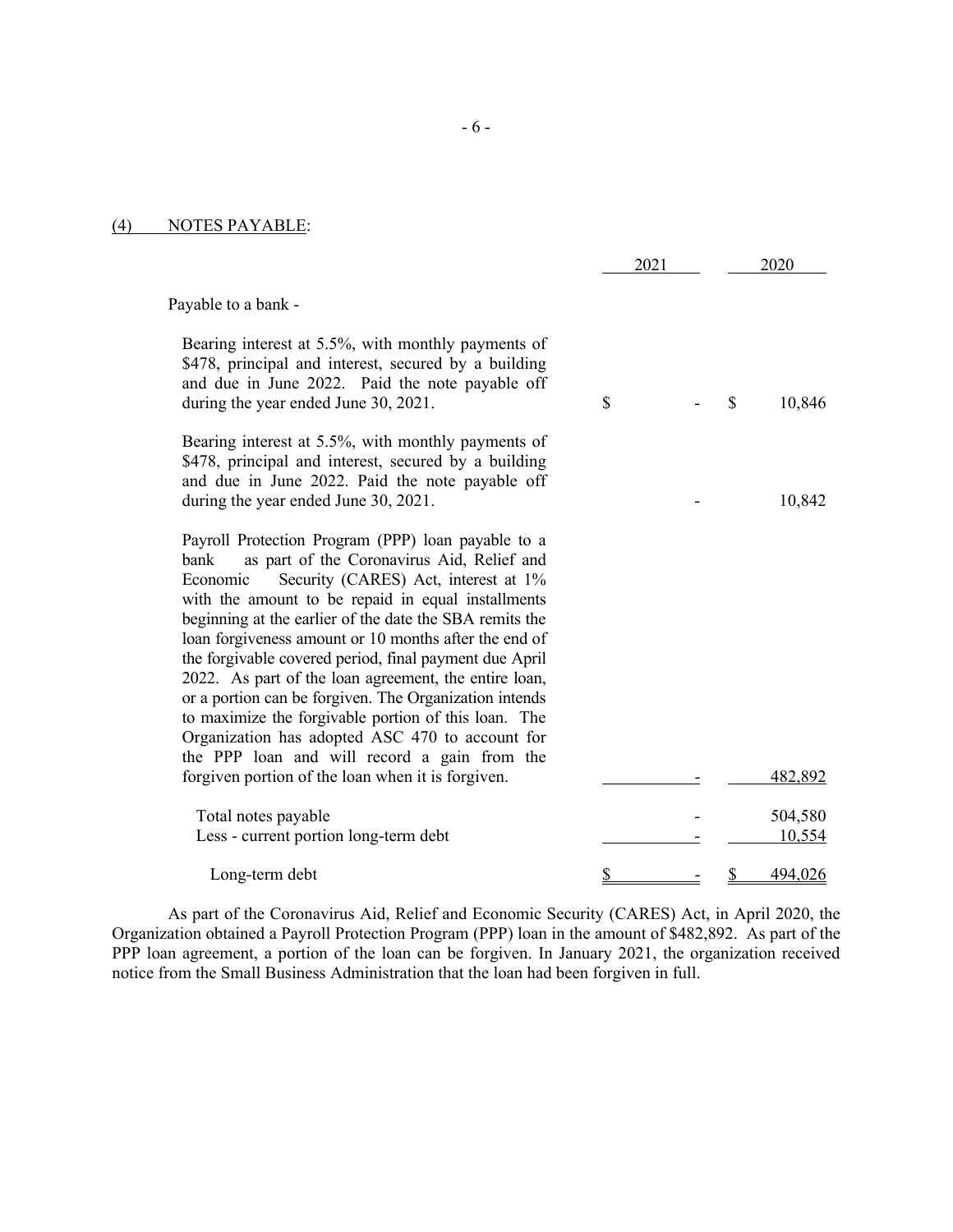## (4) NOTES PAYABLE:

|                                                                                                                                                                                                                                                                                                                                                                                                                                                                                                                                                                                                                                                                                                                                     | 2021 |    | 2020    |
|-------------------------------------------------------------------------------------------------------------------------------------------------------------------------------------------------------------------------------------------------------------------------------------------------------------------------------------------------------------------------------------------------------------------------------------------------------------------------------------------------------------------------------------------------------------------------------------------------------------------------------------------------------------------------------------------------------------------------------------|------|----|---------|
| Payable to a bank -                                                                                                                                                                                                                                                                                                                                                                                                                                                                                                                                                                                                                                                                                                                 |      |    |         |
| Bearing interest at 5.5%, with monthly payments of<br>\$478, principal and interest, secured by a building<br>and due in June 2022. Paid the note payable off<br>during the year ended June 30, 2021.                                                                                                                                                                                                                                                                                                                                                                                                                                                                                                                               | \$   | \$ | 10,846  |
| Bearing interest at 5.5%, with monthly payments of<br>\$478, principal and interest, secured by a building<br>and due in June 2022. Paid the note payable off                                                                                                                                                                                                                                                                                                                                                                                                                                                                                                                                                                       |      |    |         |
| during the year ended June 30, 2021.                                                                                                                                                                                                                                                                                                                                                                                                                                                                                                                                                                                                                                                                                                |      |    | 10,842  |
| Payroll Protection Program (PPP) loan payable to a<br>as part of the Coronavirus Aid, Relief and<br>bank<br>Security (CARES) Act, interest at 1%<br>Economic<br>with the amount to be repaid in equal installments<br>beginning at the earlier of the date the SBA remits the<br>loan forgiveness amount or 10 months after the end of<br>the forgivable covered period, final payment due April<br>2022. As part of the loan agreement, the entire loan,<br>or a portion can be forgiven. The Organization intends<br>to maximize the forgivable portion of this loan. The<br>Organization has adopted ASC 470 to account for<br>the PPP loan and will record a gain from the<br>forgiven portion of the loan when it is forgiven. |      |    | 482,892 |
| Total notes payable                                                                                                                                                                                                                                                                                                                                                                                                                                                                                                                                                                                                                                                                                                                 |      |    | 504,580 |
| Less - current portion long-term debt                                                                                                                                                                                                                                                                                                                                                                                                                                                                                                                                                                                                                                                                                               |      |    | 10,554  |
| Long-term debt                                                                                                                                                                                                                                                                                                                                                                                                                                                                                                                                                                                                                                                                                                                      | \$   |    | 494,026 |

As part of the Coronavirus Aid, Relief and Economic Security (CARES) Act, in April 2020, the Organization obtained a Payroll Protection Program (PPP) loan in the amount of \$482,892. As part of the PPP loan agreement, a portion of the loan can be forgiven. In January 2021, the organization received notice from the Small Business Administration that the loan had been forgiven in full.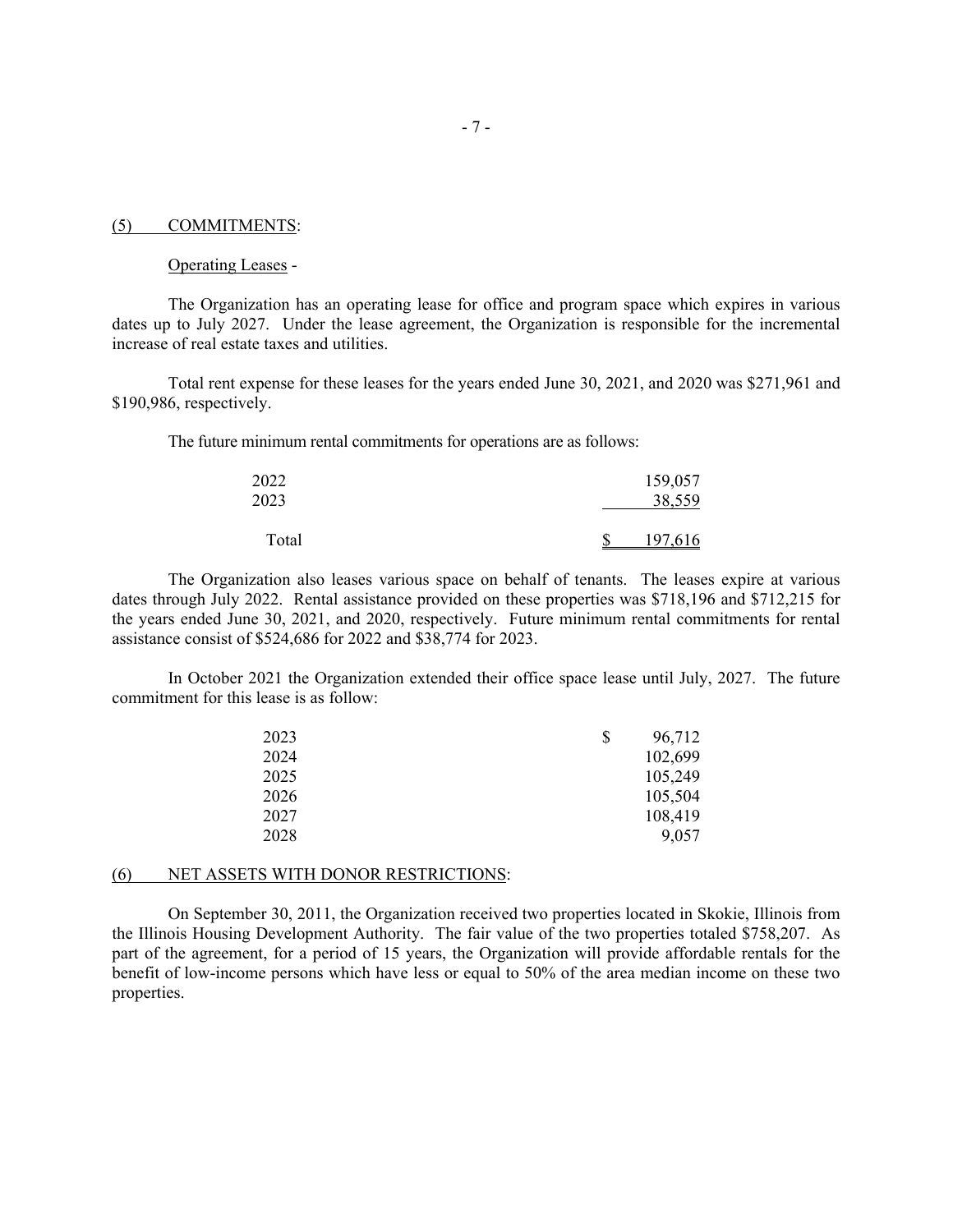#### (5) COMMITMENTS:

## Operating Leases -

The Organization has an operating lease for office and program space which expires in various dates up to July 2027. Under the lease agreement, the Organization is responsible for the incremental increase of real estate taxes and utilities.

Total rent expense for these leases for the years ended June 30, 2021, and 2020 was \$271,961 and \$190,986, respectively.

The future minimum rental commitments for operations are as follows:

| 2022  | 159,057      |
|-------|--------------|
| 2023  | 38,559       |
|       |              |
| Total | ¢<br>197,616 |

 The Organization also leases various space on behalf of tenants. The leases expire at various dates through July 2022. Rental assistance provided on these properties was \$718,196 and \$712,215 for the years ended June 30, 2021, and 2020, respectively. Future minimum rental commitments for rental assistance consist of \$524,686 for 2022 and \$38,774 for 2023.

 In October 2021 the Organization extended their office space lease until July, 2027. The future commitment for this lease is as follow:

| 2023 | \$<br>96,712 |
|------|--------------|
| 2024 | 102,699      |
| 2025 | 105,249      |
| 2026 | 105,504      |
| 2027 | 108,419      |
| 2028 | 9,057        |

#### (6) NET ASSETS WITH DONOR RESTRICTIONS:

 On September 30, 2011, the Organization received two properties located in Skokie, Illinois from the Illinois Housing Development Authority. The fair value of the two properties totaled \$758,207. As part of the agreement, for a period of 15 years, the Organization will provide affordable rentals for the benefit of low-income persons which have less or equal to 50% of the area median income on these two properties.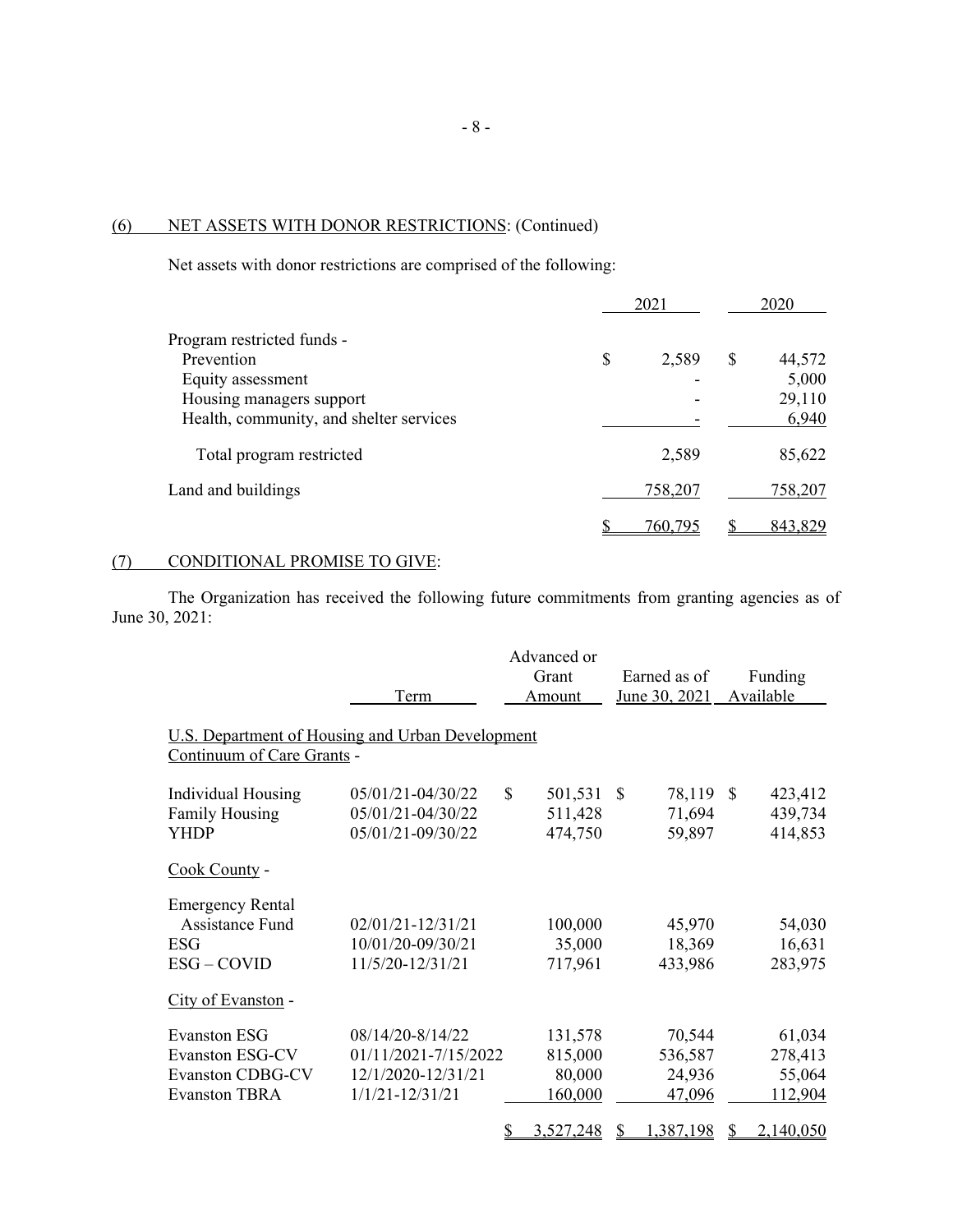## (6) NET ASSETS WITH DONOR RESTRICTIONS: (Continued)

Net assets with donor restrictions are comprised of the following:

|                                         | 2021        |   | 2020    |
|-----------------------------------------|-------------|---|---------|
| Program restricted funds -              |             |   |         |
| Prevention                              | \$<br>2,589 | S | 44,572  |
| Equity assessment                       |             |   | 5,000   |
| Housing managers support                |             |   | 29,110  |
| Health, community, and shelter services |             |   | 6,940   |
| Total program restricted                | 2,589       |   | 85,622  |
| Land and buildings                      | 758,207     |   | 758,207 |
|                                         | 760,795     |   | 843,829 |

# (7) CONDITIONAL PROMISE TO GIVE:

 The Organization has received the following future commitments from granting agencies as of June 30, 2021:

|                            | Term                                             | Advanced or<br>Grant<br>Amount | Earned as of<br>June 30, 2021 | Funding<br>Available |
|----------------------------|--------------------------------------------------|--------------------------------|-------------------------------|----------------------|
| Continuum of Care Grants - | U.S. Department of Housing and Urban Development |                                |                               |                      |
|                            |                                                  |                                |                               |                      |
| Individual Housing         | 05/01/21-04/30/22                                | $\mathbb{S}$<br>501,531        | 78,119<br><sup>\$</sup>       | 423,412<br>-S        |
| <b>Family Housing</b>      | 05/01/21-04/30/22                                | 511,428                        | 71,694                        | 439,734              |
| <b>YHDP</b>                | 05/01/21-09/30/22                                | 474,750                        | 59,897                        | 414,853              |
| Cook County -              |                                                  |                                |                               |                      |
| <b>Emergency Rental</b>    |                                                  |                                |                               |                      |
| <b>Assistance Fund</b>     | 02/01/21-12/31/21                                | 100,000                        | 45,970                        | 54,030               |
| <b>ESG</b>                 | 10/01/20-09/30/21                                | 35,000                         | 18,369                        | 16,631               |
| $ESG - COVID$              | 11/5/20-12/31/21                                 | 717,961                        | 433,986                       | 283,975              |
| City of Evanston -         |                                                  |                                |                               |                      |
| <b>Evanston ESG</b>        | 08/14/20-8/14/22                                 | 131,578                        | 70,544                        | 61,034               |
| <b>Evanston ESG-CV</b>     | 01/11/2021-7/15/2022                             | 815,000                        | 536,587                       | 278,413              |
| <b>Evanston CDBG-CV</b>    | 12/1/2020-12/31/21                               | 80,000                         | 24,936                        | 55,064               |
| <b>Evanston TBRA</b>       | $1/1/21 - 12/31/21$                              | 160,000                        | 47,096                        | 112,904              |
|                            |                                                  | 3,527,248                      | 1,387,198                     | 2,140,050            |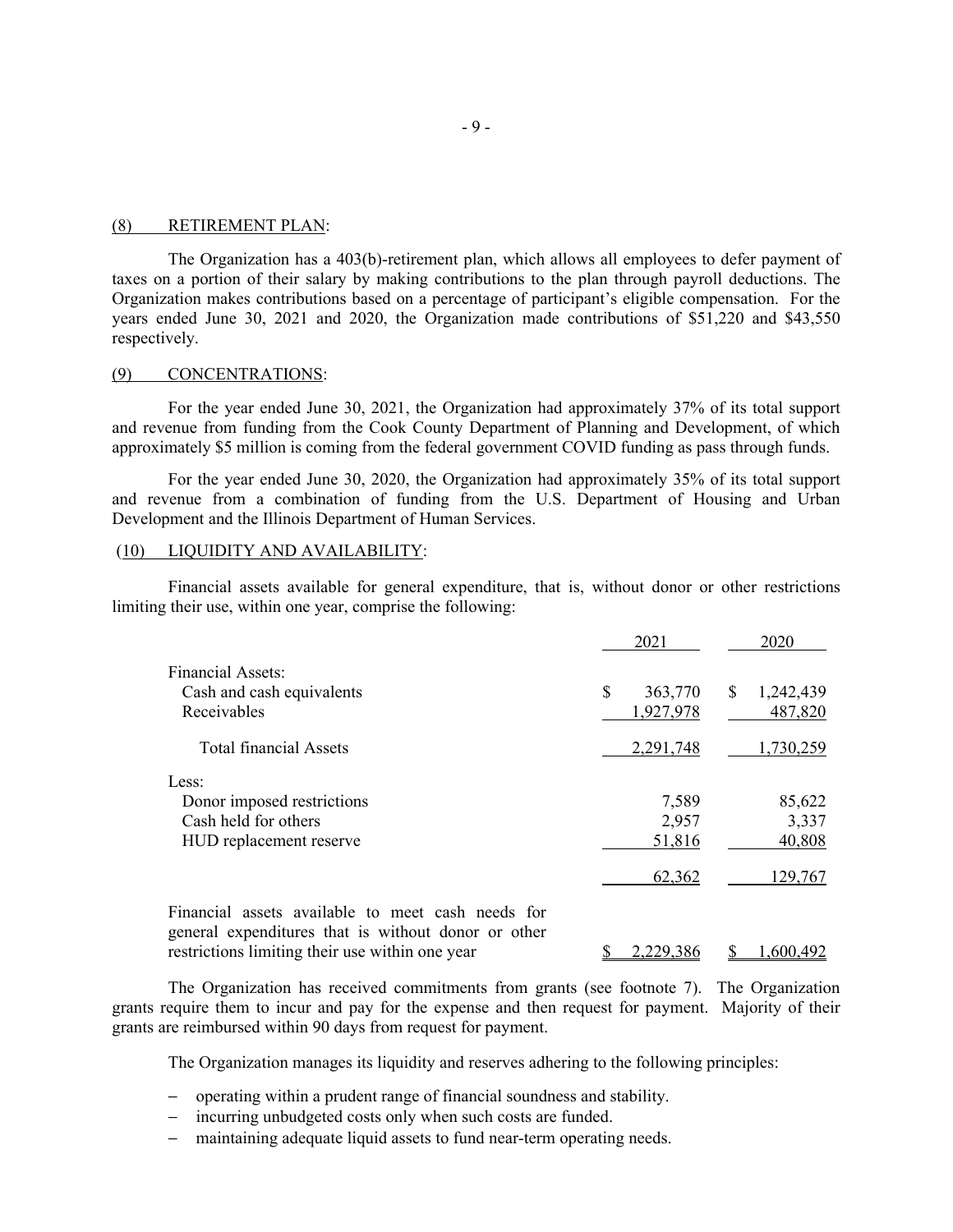#### (8) RETIREMENT PLAN:

 The Organization has a 403(b)-retirement plan, which allows all employees to defer payment of taxes on a portion of their salary by making contributions to the plan through payroll deductions. The Organization makes contributions based on a percentage of participant's eligible compensation. For the years ended June 30, 2021 and 2020, the Organization made contributions of \$51,220 and \$43,550 respectively.

#### (9) CONCENTRATIONS:

For the year ended June 30, 2021, the Organization had approximately 37% of its total support and revenue from funding from the Cook County Department of Planning and Development, of which approximately \$5 million is coming from the federal government COVID funding as pass through funds.

For the year ended June 30, 2020, the Organization had approximately 35% of its total support and revenue from a combination of funding from the U.S. Department of Housing and Urban Development and the Illinois Department of Human Services.

### (10) LIQUIDITY AND AVAILABILITY:

 Financial assets available for general expenditure, that is, without donor or other restrictions limiting their use, within one year, comprise the following:

|                                                     | 2021           | 2020             |
|-----------------------------------------------------|----------------|------------------|
| <b>Financial Assets:</b>                            |                |                  |
| Cash and cash equivalents                           | \$<br>363,770  | \$.<br>1,242,439 |
| Receivables                                         | 1,927,978      | 487,820          |
| <b>Total financial Assets</b>                       | 2,291,748      | 1,730,259        |
| Less:                                               |                |                  |
| Donor imposed restrictions                          | 7,589          | 85,622           |
| Cash held for others                                | 2,957          | 3,337            |
| HUD replacement reserve                             | 51,816         | 40,808           |
|                                                     | 62,362         | 129,767          |
| Financial assets available to meet cash needs for   |                |                  |
| general expenditures that is without donor or other |                |                  |
| restrictions limiting their use within one year     | 2,229,386<br>D | 1,600,492        |

 The Organization has received commitments from grants (see footnote 7). The Organization grants require them to incur and pay for the expense and then request for payment. Majority of their grants are reimbursed within 90 days from request for payment.

The Organization manages its liquidity and reserves adhering to the following principles:

- − operating within a prudent range of financial soundness and stability.
- − incurring unbudgeted costs only when such costs are funded.
- − maintaining adequate liquid assets to fund near-term operating needs.